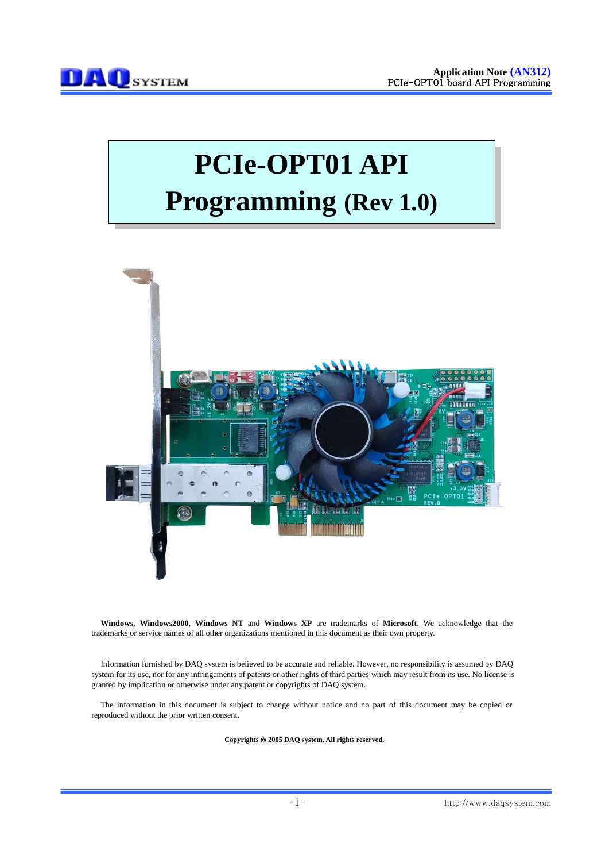# **PCIe-OPT01 API Programming (Rev 1.0)**



**Windows**, **Windows2000**, **Windows NT** and **Windows XP** are trademarks of **Microsoft**. We acknowledge that the trademarks or service names of all other organizations mentioned in this document as their own property.

Information furnished by DAQ system is believed to be accurate and reliable. However, no responsibility is assumed by DAQ system for its use, nor for any infringements of patents or other rights of third parties which may result from its use. No license is granted by implication or otherwise under any patent or copyrights of DAQ system.

The information in this document is subject to change without notice and no part of this document may be copied or reproduced without the prior written consent.

Copyrights  $@$  2005 DAQ system, All rights reserved.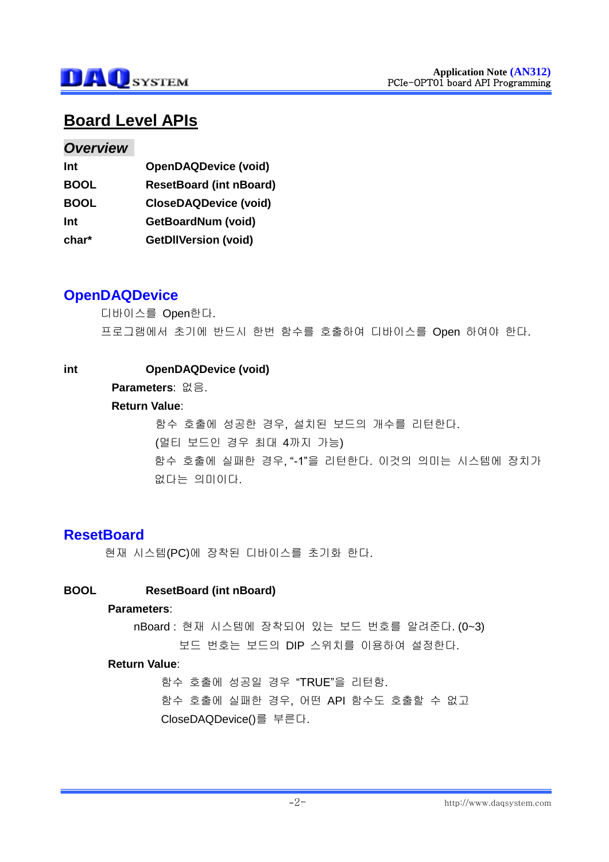

# **Board Level APIs**

#### *Overview*

| <b>OpenDAQDevice (void)</b>    |
|--------------------------------|
| <b>ResetBoard (int nBoard)</b> |
| <b>CloseDAQDevice (void)</b>   |
| GetBoardNum (void)             |
| <b>GetDIIVersion (void)</b>    |
|                                |

## **OpenDAQDevice**

디바이스를 Open한다. 프로그램에서 초기에 반드시 한번 함수를 호출하여 디바이스를 Open 하여야 한다.

#### **int OpenDAQDevice (void)**

### **Parameters**: 없음.

#### **Return Value**:

함수 호출에 성공한 경우, 설치된 보드의 개수를 리턴한다. (멀티 보드인 경우 최대 4까지 가능) 함수 호출에 실패한 경우, "-1"을 리턴한다. 이것의 의미는 시스템에 장치가 없다는 의미이다.

# **ResetBoard**

현재 시스템(PC)에 장착된 디바이스를 초기화 한다.

#### **BOOL ResetBoard (int nBoard)**

#### **Parameters**:

nBoard : 현재 시스템에 장착되어 있는 보드 번호를 알려준다. (0~3) 보드 번호는 보드의 DIP 스위치를 이용하여 설정한다.

#### **Return Value**:

함수 호출에 성공일 경우 "TRUE"을 리턴함. 함수 호출에 실패한 경우, 어떤 API 함수도 호출할 수 없고 CloseDAQDevice()를 부른다.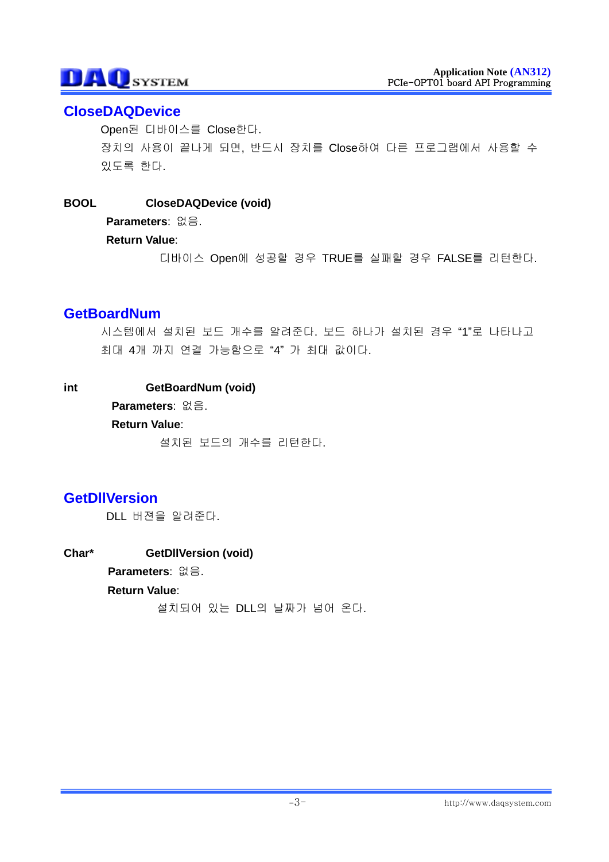# **CloseDAQDevice**

Open된 디바이스를 Close한다. 장치의 사용이 끝나게 되면, 반드시 장치를 Close하여 다른 프로그램에서 사용할 수 있도록 한다.

### **BOOL CloseDAQDevice (void)**

**Parameters**: 없음.

**Return Value**:

디바이스 Open에 성공할 경우 TRUE를 실패할 경우 FALSE를 리턴한다.

# **GetBoardNum**

시스템에서 설치된 보드 개수를 알려준다. 보드 하나가 설치된 경우 "1"로 나타나고 최대 4개 까지 연결 가능함으로 "4" 가 최대 값이다.

### **int GetBoardNum (void)**

**Parameters**: 없음.

#### **Return Value**:

설치된 보드의 개수를 리턴한다.

# **GetDllVersion**

DLL 버젼을 알려준다.

**Char\* GetDllVersion (void) Parameters**: 없음. **Return Value**: 설치되어 있는 DLL의 날짜가 넘어 온다.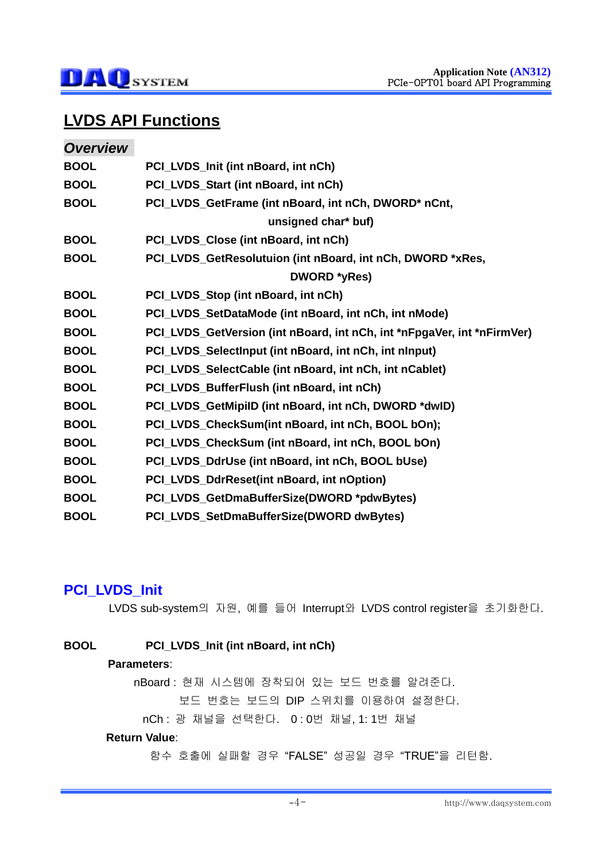

# **LVDS API Functions**

| <b>Overview</b> |                                                                         |
|-----------------|-------------------------------------------------------------------------|
| <b>BOOL</b>     | PCI_LVDS_Init (int nBoard, int nCh)                                     |
| <b>BOOL</b>     | PCI_LVDS_Start (int nBoard, int nCh)                                    |
| <b>BOOL</b>     | PCI_LVDS_GetFrame (int nBoard, int nCh, DWORD* nCnt,                    |
|                 | unsigned char* buf)                                                     |
| <b>BOOL</b>     | PCI_LVDS_Close (int nBoard, int nCh)                                    |
| <b>BOOL</b>     | PCI_LVDS_GetResolutuion (int nBoard, int nCh, DWORD *xRes,              |
|                 | DWORD *yRes)                                                            |
| <b>BOOL</b>     | PCI_LVDS_Stop (int nBoard, int nCh)                                     |
| <b>BOOL</b>     | PCI_LVDS_SetDataMode (int nBoard, int nCh, int nMode)                   |
| <b>BOOL</b>     | PCI_LVDS_GetVersion (int nBoard, int nCh, int *nFpgaVer, int *nFirmVer) |
| <b>BOOL</b>     | PCI_LVDS_SelectInput (int nBoard, int nCh, int nInput)                  |
| <b>BOOL</b>     | PCI_LVDS_SelectCable (int nBoard, int nCh, int nCablet)                 |
| <b>BOOL</b>     | PCI_LVDS_BufferFlush (int nBoard, int nCh)                              |
| <b>BOOL</b>     | PCI_LVDS_GetMipiID (int nBoard, int nCh, DWORD *dwID)                   |
| <b>BOOL</b>     | PCI_LVDS_CheckSum(int nBoard, int nCh, BOOL bOn);                       |
| <b>BOOL</b>     | PCI_LVDS_CheckSum (int nBoard, int nCh, BOOL bOn)                       |
| <b>BOOL</b>     | PCI_LVDS_DdrUse (int nBoard, int nCh, BOOL bUse)                        |
| <b>BOOL</b>     | PCI_LVDS_DdrReset(int nBoard, int nOption)                              |
| <b>BOOL</b>     | PCI_LVDS_GetDmaBufferSize(DWORD *pdwBytes)                              |
| <b>BOOL</b>     | PCI LVDS SetDmaBufferSize(DWORD dwBytes)                                |

# **PCI\_LVDS\_Init**

LVDS sub-system의 자원, 예를 들어 Interrupt와 LVDS control register을 초기화한다.

### **BOOL PCI\_LVDS\_Init (int nBoard, int nCh)**

#### **Parameters**:

nBoard : 현재 시스템에 장착되어 있는 보드 번호를 알려준다.

보드 번호는 보드의 DIP 스위치를 이용하여 설정한다.

nCh : 광 채널을 선택한다. 0 : 0번 채널, 1: 1번 채널

#### **Return Value**: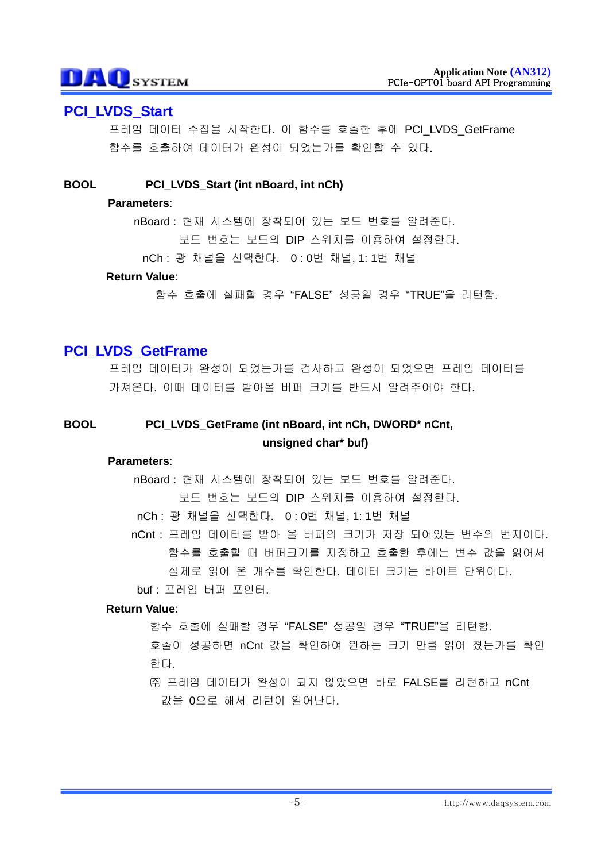# **PCI\_LVDS\_Start**

프레임 데이터 수집을 시작한다. 이 함수를 호출한 후에 PCI LVDS GetFrame 함수를 호출하여 데이터가 완성이 되었는가를 확인할 수 있다.

#### **BOOL PCI\_LVDS\_Start (int nBoard, int nCh)**

#### **Parameters**:

nBoard : 현재 시스템에 장착되어 있는 보드 번호를 알려준다. 보드 번호는 보드의 DIP 스위치를 이용하여 설정한다.

nCh : 광 채널을 선택한다. 0 : 0번 채널, 1: 1번 채널

#### **Return Value**:

함수 호출에 실패할 경우 "FALSE" 성공일 경우 "TRUE"을 리턴함.

# **PCI\_LVDS\_GetFrame**

프레임 데이터가 완성이 되었는가를 검사하고 완성이 되었으면 프레임 데이터를 가져온다. 이때 데이터를 받아올 버퍼 크기를 반드시 알려주어야 한다.

## **BOOL PCI\_LVDS\_GetFrame (int nBoard, int nCh, DWORD\* nCnt, unsigned char\* buf)**

#### **Parameters**:

nBoard : 현재 시스템에 장착되어 있는 보드 번호를 알려준다.

보드 번호는 보드의 DIP 스위치를 이용하여 설정한다.

nCh : 광 채널을 선택한다. 0 : 0번 채널, 1: 1번 채널

nCnt : 프레임 데이터를 받아 올 버퍼의 크기가 저장 되어있는 변수의 번지이다. 함수를 호출할 때 버퍼크기를 지정하고 호출한 후에는 변수 값을 읽어서 실제로 읽어 온 개수를 확인한다. 데이터 크기는 바이트 단위이다.

buf : 프레임 버퍼 포인터.

#### **Return Value**:

함수 호출에 실패할 경우 "FALSE" 성공일 경우 "TRUE"을 리턴함.

호출이 성공하면 nCnt 값을 확인하여 원하는 크기 만큼 읽어 졌는가를 확인 한다.

㈜ 프레임 데이터가 완성이 되지 않았으면 바로 FALSE를 리턴하고 nCnt 값을 0으로 해서 리턴이 일어난다.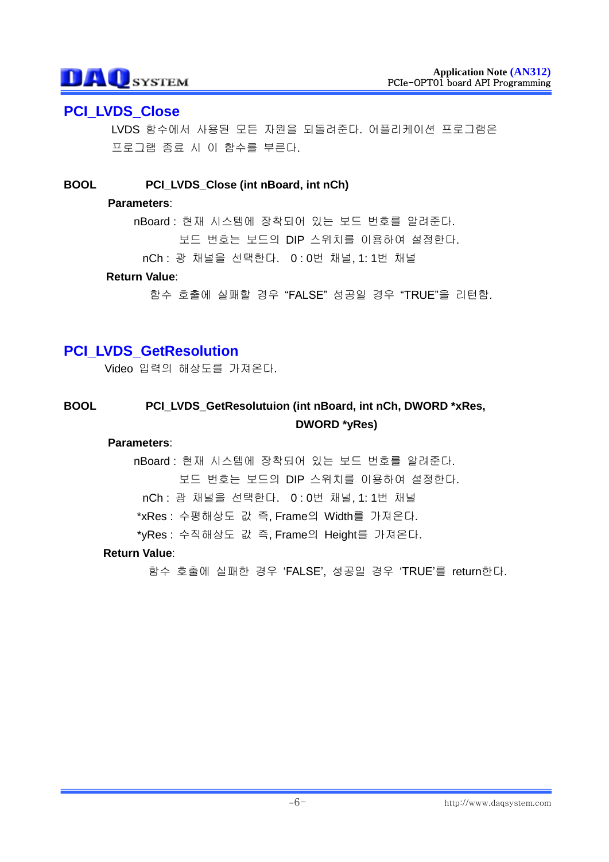# **PCI\_LVDS\_Close**

LVDS 함수에서 사용된 모든 자원을 되돌려준다. 어플리케이션 프로그램은 프로그램 종료 시 이 함수를 부른다.

### **BOOL PCI\_LVDS\_Close (int nBoard, int nCh)**

#### **Parameters**:

nBoard : 현재 시스템에 장착되어 있는 보드 번호를 알려준다. 보드 번호는 보드의 DIP 스위치를 이용하여 설정한다.

nCh : 광 채널을 선택한다. 0 : 0번 채널, 1: 1번 채널

#### **Return Value**:

함수 호출에 실패할 경우 "FALSE" 성공일 경우 "TRUE"을 리턴함.

# **PCI\_LVDS\_GetResolution**

Video 입력의 해상도를 가져온다.

## **BOOL PCI\_LVDS\_GetResolutuion (int nBoard, int nCh, DWORD \*xRes, DWORD \*yRes)**

#### **Parameters**:

nBoard : 현재 시스템에 장착되어 있는 보드 번호를 알려준다. 보드 번호는 보드의 DIP 스위치를 이용하여 설정한다. nCh : 광 채널을 선택한다. 0 : 0번 채널, 1: 1번 채널 \*xRes : 수평해상도 값 즉, Frame의 Width를 가져온다. \*yRes : 수직해상도 값 즉, Frame의 Height를 가져온다.

#### **Return Value**: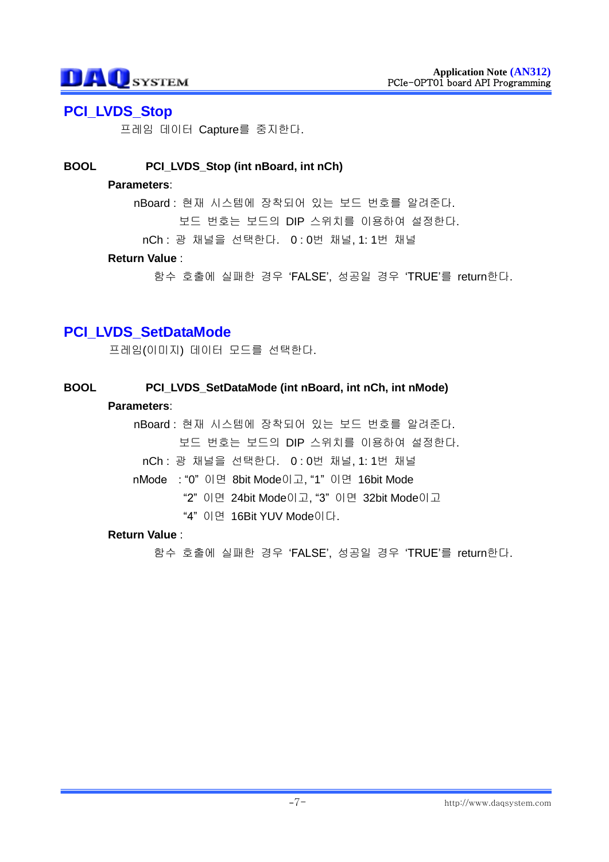# **PCI\_LVDS\_Stop**

프레임 데이터 Capture를 중지한다.

### **BOOL PCI\_LVDS\_Stop (int nBoard, int nCh)**

#### **Parameters**:

nBoard : 현재 시스템에 장착되어 있는 보드 번호를 알려준다.

보드 번호는 보드의 DIP 스위치를 이용하여 설정한다.

nCh : 광 채널을 선택한다. 0 : 0번 채널, 1: 1번 채널

### **Return Value** :

함수 호출에 실패한 경우 "FALSE", 성공일 경우 "TRUE"를 return한다.

# **PCI\_LVDS\_SetDataMode**

프레임(이미지) 데이터 모드를 선택한다.

### **BOOL PCI\_LVDS\_SetDataMode (int nBoard, int nCh, int nMode)**

#### **Parameters**:

nBoard : 현재 시스템에 장착되어 있는 보드 번호를 알려준다. 보드 번호는 보드의 DIP 스위치를 이용하여 설정한다. nCh : 광 채널을 선택한다. 0 : 0번 채널, 1: 1번 채널 nMode : "0" 이면 8bit Mode이고, "1" 이면 16bit Mode "2" 이면 24bit Mode이고, "3" 이면 32bit Mode이고 "4" 이면 16Bit YUV Mode이다.

#### **Return Value** :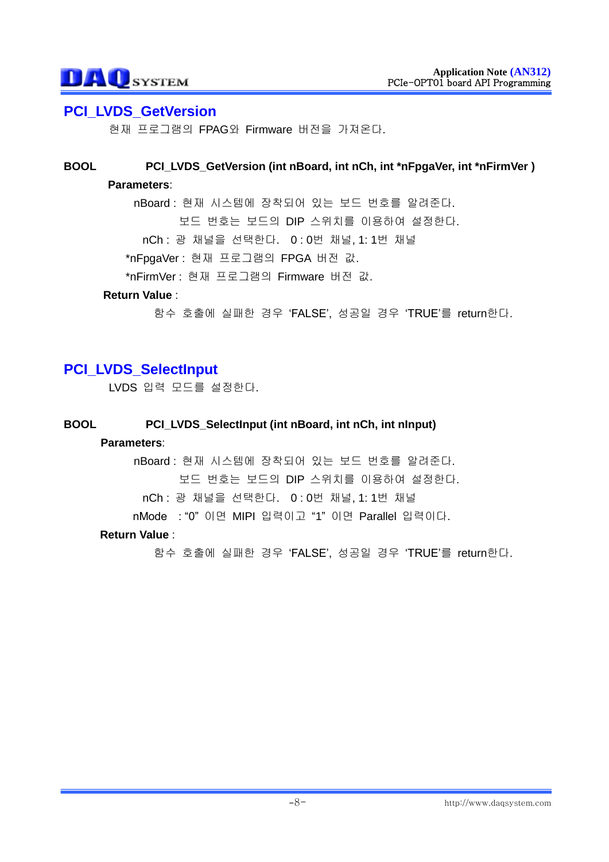### **PCI\_LVDS\_GetVersion**

현재 프로그램의 FPAG와 Firmware 버전을 가져온다.

### **BOOL PCI\_LVDS\_GetVersion (int nBoard, int nCh, int \*nFpgaVer, int \*nFirmVer ) Parameters**:

nBoard : 현재 시스템에 장착되어 있는 보드 번호를 알려준다. 보드 번호는 보드의 DIP 스위치를 이용하여 설정한다. nCh : 광 채널을 선택한다. 0 : 0번 채널, 1: 1번 채널 \*nFpgaVer : 현재 프로그램의 FPGA 버전 값. \*nFirmVer : 현재 프로그램의 Firmware 버전 값.

#### **Return Value** :

함수 호출에 실패한 경우 "FALSE", 성공일 경우 "TRUE"를 return한다.

# **PCI\_LVDS\_SelectInput**

LVDS 입력 모드를 설정한다.

#### **BOOL PCI\_LVDS\_SelectInput (int nBoard, int nCh, int nInput)**

#### **Parameters**:

nBoard : 현재 시스템에 장착되어 있는 보드 번호를 알려준다. 보드 번호는 보드의 DIP 스위치를 이용하여 설정한다. nCh : 광 채널을 선택한다. 0 : 0번 채널, 1: 1번 채널

nMode : "0" 이면 MIPI 입력이고 "1" 이면 Parallel 입력이다.

#### **Return Value** :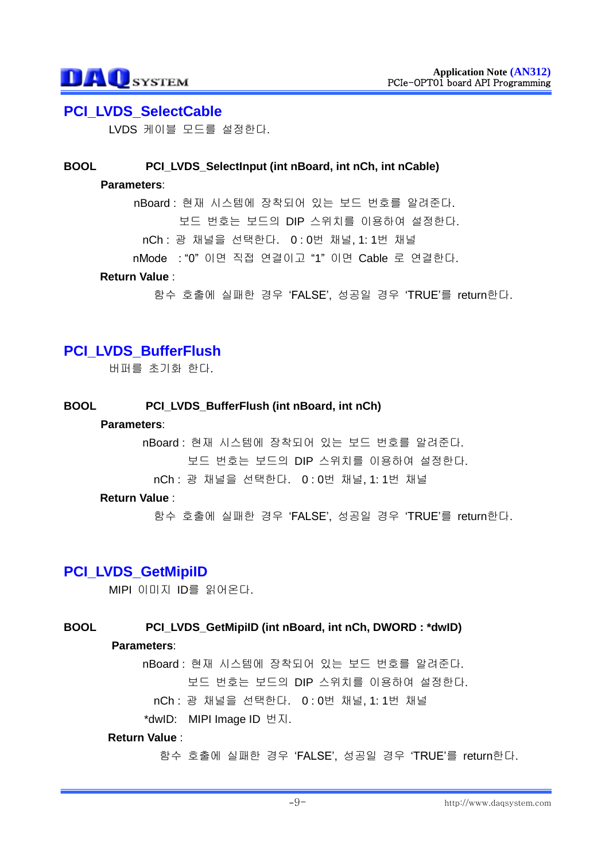### **PCI\_LVDS\_SelectCable**

LVDS 케이블 모드를 설정한다.

#### **BOOL PCI\_LVDS\_SelectInput (int nBoard, int nCh, int nCable)**

#### **Parameters**:

nBoard : 현재 시스템에 장착되어 있는 보드 번호를 알려준다. 보드 번호는 보드의 DIP 스위치를 이용하여 설정한다. nCh : 광 채널을 선택한다. 0 : 0번 채널, 1: 1번 채널 nMode : "0" 이면 직접 연결이고 "1" 이면 Cable 로 연결한다.

#### **Return Value** :

함수 호출에 실패한 경우 "FALSE", 성공일 경우 "TRUE"를 return한다.

# **PCI\_LVDS\_BufferFlush**

버퍼를 초기화 한다.

#### **BOOL PCI\_LVDS\_BufferFlush (int nBoard, int nCh)**

#### **Parameters**:

nBoard : 현재 시스템에 장착되어 있는 보드 번호를 알려준다. 보드 번호는 보드의 DIP 스위치를 이용하여 설정한다.

nCh : 광 채널을 선택한다. 0 : 0번 채널, 1: 1번 채널

#### **Return Value** :

함수 호출에 실패한 경우 "FALSE", 성공일 경우 "TRUE"를 return한다.

### **PCI\_LVDS\_GetMipiID**

MIPI 이미지 ID를 읽어온다.

#### **BOOL PCI\_LVDS\_GetMipiID (int nBoard, int nCh, DWORD : \*dwID)**

#### **Parameters**:

nBoard : 현재 시스템에 장착되어 있는 보드 번호를 알려준다. 보드 번호는 보드의 DIP 스위치를 이용하여 설정한다.

nCh : 광 채널을 선택한다. 0 : 0번 채널, 1: 1번 채널

\*dwID: MIPI Image ID 번지.

#### **Return Value** :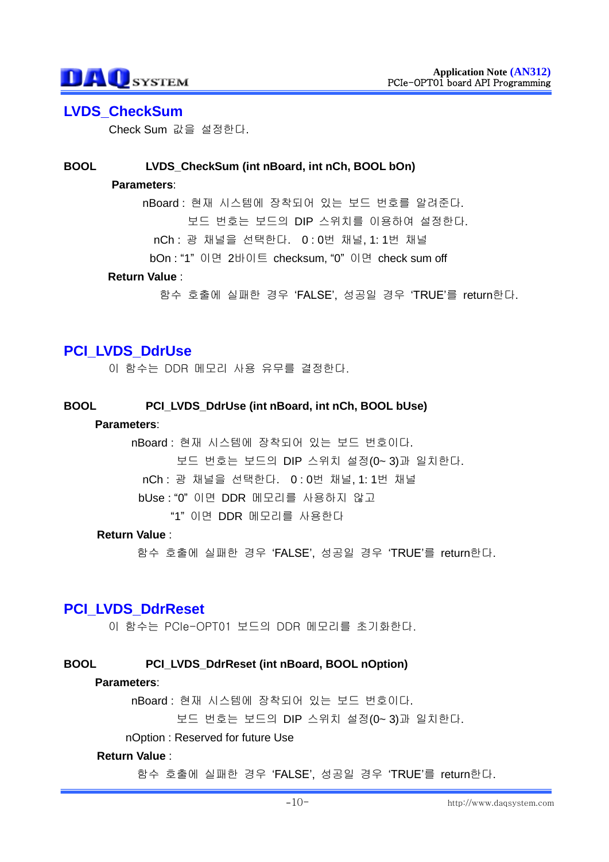### **LVDS\_CheckSum**

Check Sum 값을 설정한다.

#### **BOOL LVDS\_CheckSum (int nBoard, int nCh, BOOL bOn)**

#### **Parameters**:

nBoard : 현재 시스템에 장착되어 있는 보드 번호를 알려준다. 보드 번호는 보드의 DIP 스위치를 이용하여 설정한다. nCh : 광 채널을 선택한다. 0 : 0번 채널, 1: 1번 채널 bOn : "1" 이면 2바이트 checksum, "0" 이면 check sum off

#### **Return Value** :

함수 호출에 실패한 경우 "FALSE", 성공일 경우 "TRUE"를 return한다.

# **PCI\_LVDS\_DdrUse**

이 함수는 DDR 메모리 사용 유무를 결정한다.

#### **BOOL PCI\_LVDS\_DdrUse (int nBoard, int nCh, BOOL bUse)**

#### **Parameters**:

nBoard : 현재 시스템에 장착되어 있는 보드 번호이다.

보드 번호는 보드의 DIP 스위치 설정(0~ 3)과 일치한다.

nCh : 광 채널을 선택한다. 0 : 0번 채널, 1: 1번 채널

bUse : "0" 이면 DDR 메모리를 사용하지 않고

"1" 이면 DDR 메모리를 사용한다

#### **Return Value** :

함수 호출에 실패한 경우 "FALSE", 성공일 경우 "TRUE"를 return한다.

# **PCI\_LVDS\_DdrReset**

이 함수는 PCIe-OPT01 보드의 DDR 메모리를 초기화한다.

#### **BOOL PCI\_LVDS\_DdrReset (int nBoard, BOOL nOption)**

#### **Parameters**:

nBoard : 현재 시스템에 장착되어 있는 보드 번호이다.

보드 번호는 보드의 DIP 스위치 설정(0~ 3)과 일치한다.

#### nOption : Reserved for future Use

#### **Return Value** :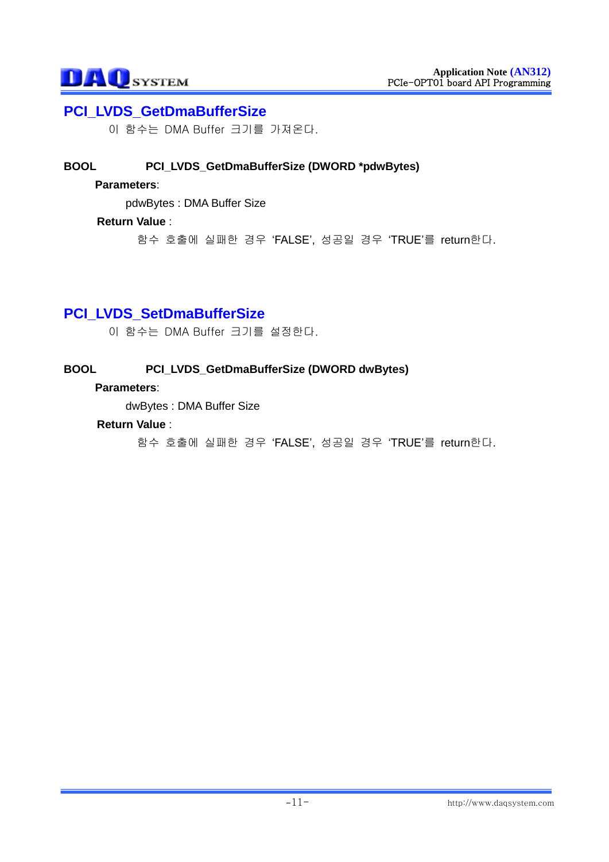# **PCI\_LVDS\_GetDmaBufferSize**

이 함수는 DMA Buffer 크기를 가져온다.

### **BOOL PCI\_LVDS\_GetDmaBufferSize (DWORD \*pdwBytes)**

#### **Parameters**:

pdwBytes : DMA Buffer Size

#### **Return Value** :

함수 호출에 실패한 경우 "FALSE", 성공일 경우 "TRUE"를 return한다.

# **PCI\_LVDS\_SetDmaBufferSize**

이 함수는 DMA Buffer 크기를 설정한다.

#### **BOOL PCI\_LVDS\_GetDmaBufferSize (DWORD dwBytes)**

### **Parameters**:

dwBytes : DMA Buffer Size

#### **Return Value** :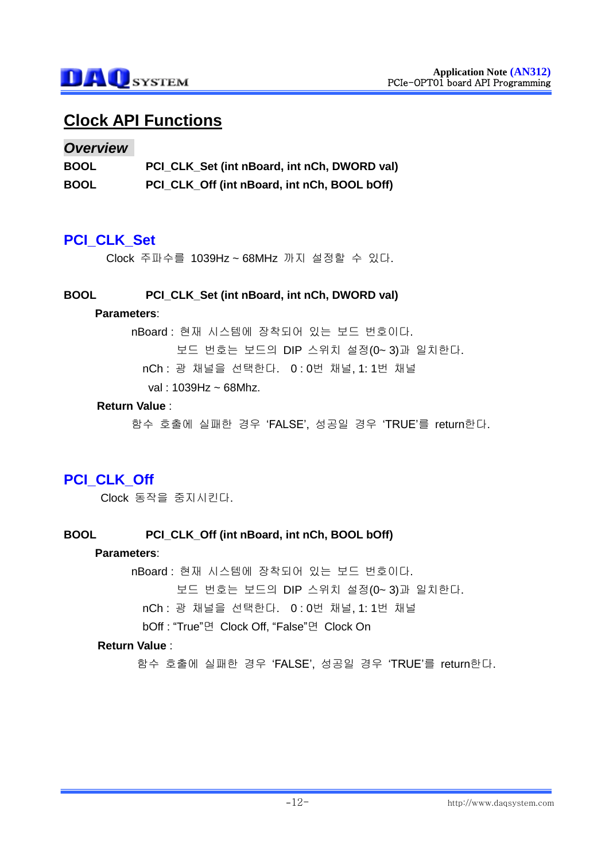# **Clock API Functions**

#### *Overview*

| <b>BOOL</b> | PCI_CLK_Set (int nBoard, int nCh, DWORD val) |
|-------------|----------------------------------------------|
| <b>BOOL</b> | PCI_CLK_Off (int nBoard, int nCh, BOOL bOff) |

## **PCI\_CLK\_Set**

Clock 주파수를 1039Hz ~ 68MHz 까지 설정할 수 있다.

#### **BOOL PCI\_CLK\_Set (int nBoard, int nCh, DWORD val)**

#### **Parameters**:

nBoard : 현재 시스템에 장착되어 있는 보드 번호이다.

보드 번호는 보드의 DIP 스위치 설정(0~ 3)과 일치한다.

nCh : 광 채널을 선택한다. 0 : 0번 채널, 1: 1번 채널

val : 1039Hz ~ 68Mhz.

#### **Return Value** :

함수 호출에 실패한 경우 "FALSE", 성공일 경우 "TRUE"를 return한다.

# **PCI\_CLK\_Off**

Clock 동작을 중지시킨다.

#### **BOOL PCI\_CLK\_Off (int nBoard, int nCh, BOOL bOff)**

#### **Parameters**:

nBoard : 현재 시스템에 장착되어 있는 보드 번호이다.

보드 번호는 보드의 DIP 스위치 설정(0~ 3)과 일치한다.

nCh : 광 채널을 선택한다. 0 : 0번 채널, 1: 1번 채널

bOff : "True"면 Clock Off, "False"면 Clock On

#### **Return Value** :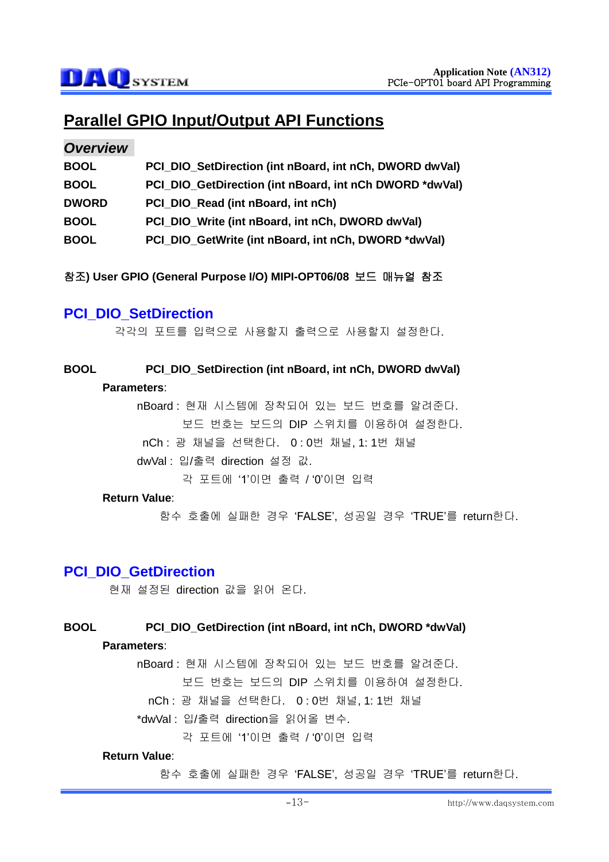# **Parallel GPIO Input/Output API Functions**

#### *Overview*

| <b>BOOL</b>  | PCI DIO SetDirection (int nBoard, int nCh, DWORD dwVal) |
|--------------|---------------------------------------------------------|
| <b>BOOL</b>  | PCI DIO GetDirection (int nBoard, int nCh DWORD *dwVal) |
| <b>DWORD</b> | PCI DIO Read (int nBoard, int nCh)                      |
| <b>BOOL</b>  | PCI DIO Write (int nBoard, int nCh, DWORD dwVal)        |
| <b>BOOL</b>  | PCI DIO GetWrite (int nBoard, int nCh, DWORD *dwVal)    |

참조**) User GPIO (General Purpose I/O) MIPI-OPT06/08** 보드 매뉴얼 참조

# **PCI\_DIO\_SetDirection**

각각의 포트를 입력으로 사용할지 출력으로 사용할지 설정한다.

### **BOOL PCI\_DIO\_SetDirection (int nBoard, int nCh, DWORD dwVal)**

#### **Parameters**:

nBoard : 현재 시스템에 장착되어 있는 보드 번호를 알려준다. 보드 번호는 보드의 DIP 스위치를 이용하여 설정한다. nCh : 광 채널을 선택한다. 0 : 0번 채널, 1: 1번 채널

dwVal : 입/출력 direction 설정 값.

각 포트에 "1"이면 출력 / "0"이면 입력

#### **Return Value**:

함수 호출에 실패한 경우 "FALSE", 성공일 경우 "TRUE"를 return한다.

### **PCI\_DIO\_GetDirection**

현재 설정된 direction 값을 읽어 온다.

#### **BOOL PCI\_DIO\_GetDirection (int nBoard, int nCh, DWORD \*dwVal)**

#### **Parameters**:

nBoard : 현재 시스템에 장착되어 있는 보드 번호를 알려준다.

보드 번호는 보드의 DIP 스위치를 이용하여 설정한다.

nCh : 광 채널을 선택한다. 0 : 0번 채널, 1: 1번 채널

\*dwVal : 입/출력 direction을 읽어올 변수.

각 포트에 "1"이면 출력 / "0"이면 입력

#### **Return Value**: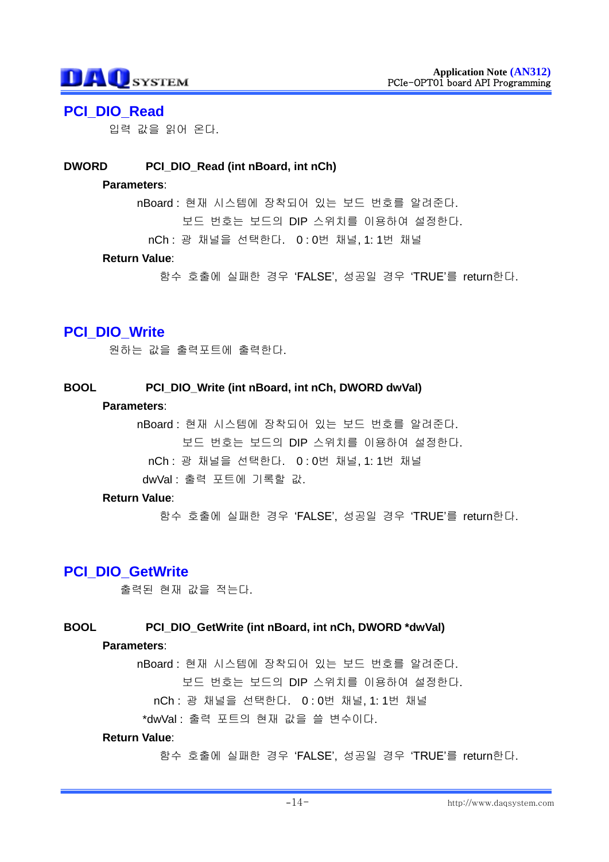### **PCI\_DIO\_Read**

입력 값을 읽어 온다.

#### **DWORD PCI\_DIO\_Read (int nBoard, int nCh)**

#### **Parameters**:

nBoard : 현재 시스템에 장착되어 있는 보드 번호를 알려준다.

보드 번호는 보드의 DIP 스위치를 이용하여 설정한다.

nCh : 광 채널을 선택한다. 0 : 0번 채널, 1: 1번 채널

#### **Return Value**:

함수 호출에 실패한 경우 "FALSE", 성공일 경우 "TRUE"를 return한다.

# **PCI\_DIO\_Write**

원하는 값을 출력포트에 출력한다.

#### **BOOL PCI\_DIO\_Write (int nBoard, int nCh, DWORD dwVal)**

#### **Parameters**:

nBoard : 현재 시스템에 장착되어 있는 보드 번호를 알려준다. 보드 번호는 보드의 DIP 스위치를 이용하여 설정한다. nCh : 광 채널을 선택한다. 0 : 0번 채널, 1: 1번 채널 dwVal : 출력 포트에 기록할 값.

#### **Return Value**:

함수 호출에 실패한 경우 "FALSE", 성공일 경우 "TRUE"를 return한다.

# **PCI\_DIO\_GetWrite**

출력된 현재 값을 적는다.

#### **BOOL PCI\_DIO\_GetWrite (int nBoard, int nCh, DWORD \*dwVal)**

#### **Parameters**:

nBoard : 현재 시스템에 장착되어 있는 보드 번호를 알려준다.

보드 번호는 보드의 DIP 스위치를 이용하여 설정한다.

nCh : 광 채널을 선택한다. 0 : 0번 채널, 1: 1번 채널

\*dwVal : 출력 포트의 현재 값을 쓸 변수이다.

#### **Return Value**: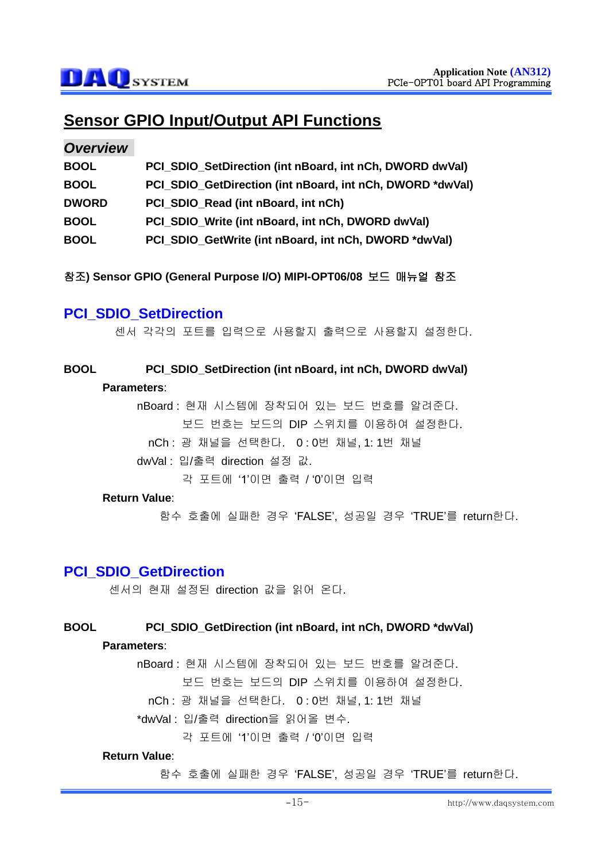# **Sensor GPIO Input/Output API Functions**

#### *Overview*

| <b>BOOL</b>  | PCI SDIO SetDirection (int nBoard, int nCh, DWORD dwVal)  |
|--------------|-----------------------------------------------------------|
| <b>BOOL</b>  | PCI_SDIO_GetDirection (int nBoard, int nCh, DWORD *dwVal) |
| <b>DWORD</b> | PCI SDIO Read (int nBoard, int nCh)                       |
| <b>BOOL</b>  | PCI SDIO Write (int nBoard, int nCh, DWORD dwVal)         |
| <b>BOOL</b>  | PCI SDIO GetWrite (int nBoard, int nCh, DWORD *dwVal)     |

참조**) Sensor GPIO (General Purpose I/O) MIPI-OPT06/08** 보드 매뉴얼 참조

# **PCI\_SDIO\_SetDirection**

센서 각각의 포트를 입력으로 사용할지 출력으로 사용할지 설정한다.

# **BOOL PCI\_SDIO\_SetDirection (int nBoard, int nCh, DWORD dwVal)**

#### **Parameters**:

nBoard : 현재 시스템에 장착되어 있는 보드 번호를 알려준다. 보드 번호는 보드의 DIP 스위치를 이용하여 설정한다. nCh : 광 채널을 선택한다. 0 : 0번 채널, 1: 1번 채널

dwVal : 입/출력 direction 설정 값.

각 포트에 "1"이면 출력 / "0"이면 입력

#### **Return Value**:

함수 호출에 실패한 경우 "FALSE", 성공일 경우 "TRUE"를 return한다.

### **PCI\_SDIO\_GetDirection**

센서의 현재 설정된 direction 값을 읽어 온다.

#### **BOOL PCI\_SDIO\_GetDirection (int nBoard, int nCh, DWORD \*dwVal)**

#### **Parameters**:

nBoard : 현재 시스템에 장착되어 있는 보드 번호를 알려준다.

보드 번호는 보드의 DIP 스위치를 이용하여 설정한다.

nCh : 광 채널을 선택한다. 0 : 0번 채널, 1: 1번 채널

\*dwVal : 입/출력 direction을 읽어올 변수.

각 포트에 "1"이면 출력 / "0"이면 입력

#### **Return Value**: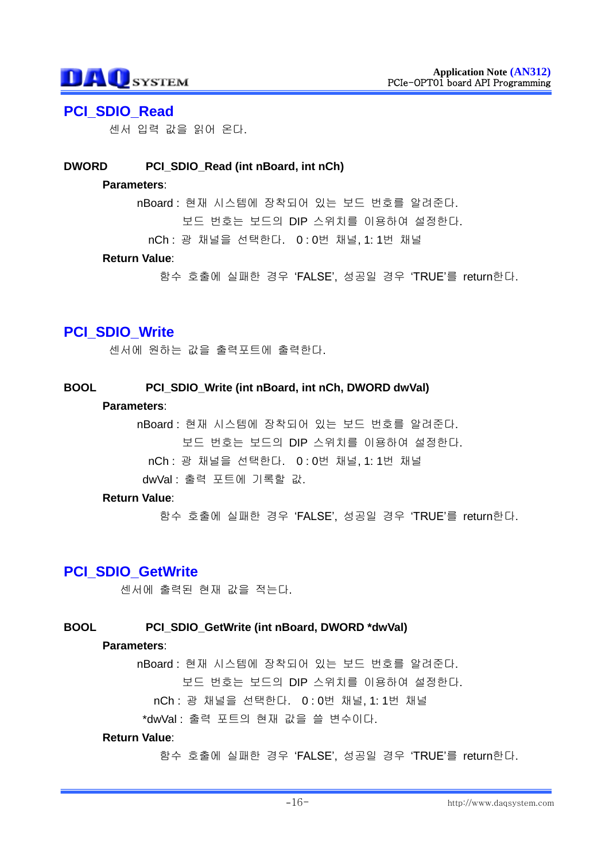## **PCI\_SDIO\_Read**

센서 입력 값을 읽어 온다.

### **DWORD PCI\_SDIO\_Read (int nBoard, int nCh)**

#### **Parameters**:

nBoard : 현재 시스템에 장착되어 있는 보드 번호를 알려준다.

보드 번호는 보드의 DIP 스위치를 이용하여 설정한다.

nCh : 광 채널을 선택한다. 0 : 0번 채널, 1: 1번 채널

#### **Return Value**:

함수 호출에 실패한 경우 "FALSE", 성공일 경우 "TRUE"를 return한다.

# **PCI\_SDIO\_Write**

센서에 원하는 값을 출력포트에 출력한다.

#### **BOOL PCI\_SDIO\_Write (int nBoard, int nCh, DWORD dwVal)**

#### **Parameters**:

nBoard : 현재 시스템에 장착되어 있는 보드 번호를 알려준다. 보드 번호는 보드의 DIP 스위치를 이용하여 설정한다. nCh : 광 채널을 선택한다. 0 : 0번 채널, 1: 1번 채널 dwVal : 출력 포트에 기록할 값.

#### **Return Value**:

함수 호출에 실패한 경우 "FALSE", 성공일 경우 "TRUE"를 return한다.

# **PCI\_SDIO\_GetWrite**

센서에 출력된 현재 값을 적는다.

#### **BOOL PCI\_SDIO\_GetWrite (int nBoard, DWORD \*dwVal)**

#### **Parameters**:

nBoard : 현재 시스템에 장착되어 있는 보드 번호를 알려준다.

보드 번호는 보드의 DIP 스위치를 이용하여 설정한다.

nCh : 광 채널을 선택한다. 0 : 0번 채널, 1: 1번 채널

\*dwVal : 출력 포트의 현재 값을 쓸 변수이다.

#### **Return Value**: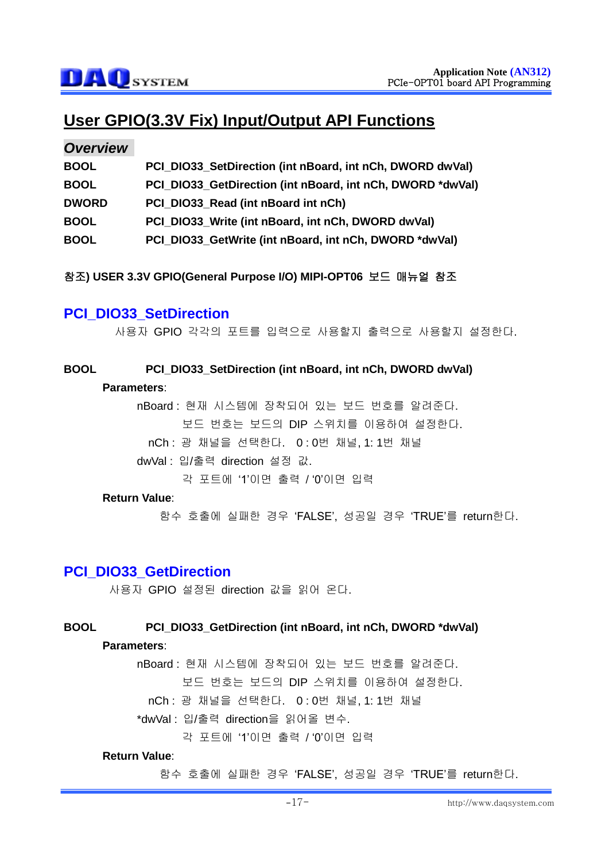# **User GPIO(3.3V Fix) Input/Output API Functions**

### *Overview*

| <b>BOOL</b>  | PCI DIO33 SetDirection (int nBoard, int nCh, DWORD dwVal)  |
|--------------|------------------------------------------------------------|
| <b>BOOL</b>  | PCI_DIO33_GetDirection (int nBoard, int nCh, DWORD *dwVal) |
| <b>DWORD</b> | PCI DIO33 Read (int nBoard int nCh)                        |
| <b>BOOL</b>  | PCI DIO33 Write (int nBoard, int nCh, DWORD dwVal)         |
| <b>BOOL</b>  | PCI DIO33 GetWrite (int nBoard, int nCh, DWORD *dwVal)     |

참조**) USER 3.3V GPIO(General Purpose I/O) MIPI-OPT06** 보드 매뉴얼 참조

# **PCI\_DIO33\_SetDirection**

사용자 GPIO 각각의 포트를 입력으로 사용할지 출력으로 사용할지 설정한다.

#### **BOOL PCI\_DIO33\_SetDirection (int nBoard, int nCh, DWORD dwVal)**

#### **Parameters**:

nBoard : 현재 시스템에 장착되어 있는 보드 번호를 알려준다. 보드 번호는 보드의 DIP 스위치를 이용하여 설정한다. nCh : 광 채널을 선택한다. 0 : 0번 채널, 1: 1번 채널

dwVal : 입/출력 direction 설정 값.

각 포트에 "1"이면 출력 / "0"이면 입력

#### **Return Value**:

함수 호출에 실패한 경우 "FALSE", 성공일 경우 "TRUE"를 return한다.

### **PCI\_DIO33\_GetDirection**

사용자 GPIO 설정된 direction 값을 읽어 온다.

#### **BOOL PCI\_DIO33\_GetDirection (int nBoard, int nCh, DWORD \*dwVal)**

#### **Parameters**:

nBoard : 현재 시스템에 장착되어 있는 보드 번호를 알려준다.

보드 번호는 보드의 DIP 스위치를 이용하여 설정한다.

nCh : 광 채널을 선택한다. 0 : 0번 채널, 1: 1번 채널

\*dwVal : 입/출력 direction을 읽어올 변수.

각 포트에 "1"이면 출력 / "0"이면 입력

#### **Return Value**: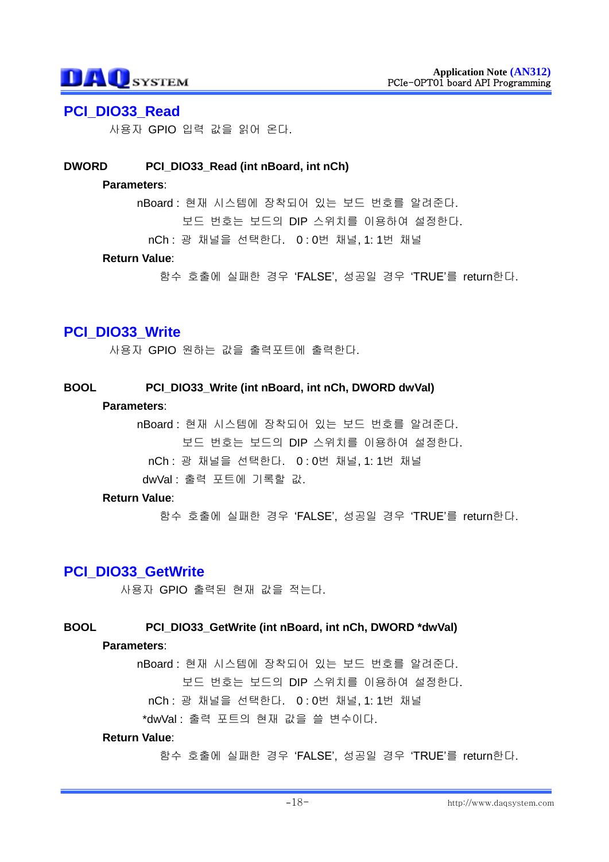### **PCI\_DIO33\_Read**

사용자 GPIO 입력 값을 읽어 온다.

#### **DWORD PCI\_DIO33\_Read (int nBoard, int nCh)**

#### **Parameters**:

nBoard : 현재 시스템에 장착되어 있는 보드 번호를 알려준다.

보드 번호는 보드의 DIP 스위치를 이용하여 설정한다.

nCh : 광 채널을 선택한다. 0 : 0번 채널, 1: 1번 채널

#### **Return Value**:

함수 호출에 실패한 경우 "FALSE", 성공일 경우 "TRUE"를 return한다.

# **PCI\_DIO33\_Write**

사용자 GPIO 원하는 값을 출력포트에 출력한다.

#### **BOOL PCI\_DIO33\_Write (int nBoard, int nCh, DWORD dwVal)**

#### **Parameters**:

nBoard : 현재 시스템에 장착되어 있는 보드 번호를 알려준다. 보드 번호는 보드의 DIP 스위치를 이용하여 설정한다. nCh : 광 채널을 선택한다. 0 : 0번 채널, 1: 1번 채널 dwVal : 출력 포트에 기록할 값.

#### **Return Value**:

함수 호출에 실패한 경우 "FALSE", 성공일 경우 "TRUE"를 return한다.

#### **PCI\_DIO33\_GetWrite**

사용자 GPIO 출력된 현재 값을 적는다.

#### **BOOL PCI\_DIO33\_GetWrite (int nBoard, int nCh, DWORD \*dwVal)**

#### **Parameters**:

nBoard : 현재 시스템에 장착되어 있는 보드 번호를 알려준다.

보드 번호는 보드의 DIP 스위치를 이용하여 설정한다.

nCh : 광 채널을 선택한다. 0 : 0번 채널, 1: 1번 채널

\*dwVal : 출력 포트의 현재 값을 쓸 변수이다.

#### **Return Value**: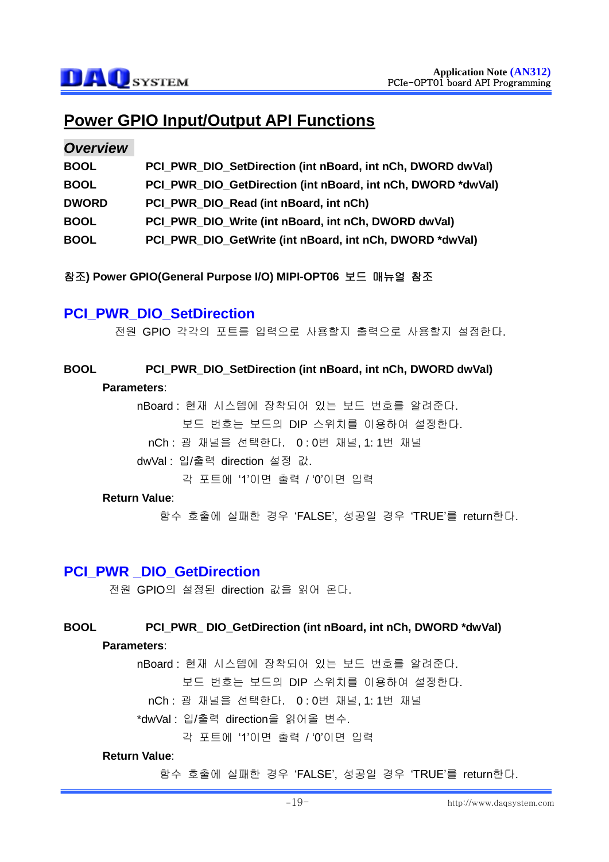# **Power GPIO Input/Output API Functions**

#### *Overview*

| <b>BOOL</b>  | PCI PWR DIO SetDirection (int nBoard, int nCh, DWORD dwVal)  |
|--------------|--------------------------------------------------------------|
| <b>BOOL</b>  | PCI_PWR_DIO_GetDirection (int nBoard, int nCh, DWORD *dwVal) |
| <b>DWORD</b> | PCI_PWR_DIO_Read (int nBoard, int nCh)                       |
| <b>BOOL</b>  | PCI PWR DIO Write (int nBoard, int nCh, DWORD dwVal)         |
| <b>BOOL</b>  | PCI PWR DIO GetWrite (int nBoard, int nCh, DWORD *dwVal)     |

참조**) Power GPIO(General Purpose I/O) MIPI-OPT06** 보드 매뉴얼 참조

# **PCI\_PWR\_DIO\_SetDirection**

전원 GPIO 각각의 포트를 입력으로 사용할지 출력으로 사용할지 설정한다.

# **BOOL PCI\_PWR\_DIO\_SetDirection (int nBoard, int nCh, DWORD dwVal)**

#### **Parameters**:

nBoard : 현재 시스템에 장착되어 있는 보드 번호를 알려준다. 보드 번호는 보드의 DIP 스위치를 이용하여 설정한다. nCh : 광 채널을 선택한다. 0 : 0번 채널, 1: 1번 채널

dwVal : 입/출력 direction 설정 값.

각 포트에 "1"이면 출력 / "0"이면 입력

#### **Return Value**:

함수 호출에 실패한 경우 "FALSE", 성공일 경우 "TRUE"를 return한다.

#### **PCI\_PWR \_DIO\_GetDirection**

전원 GPIO의 설정된 direction 값을 읽어 온다.

#### **BOOL PCI\_PWR\_ DIO\_GetDirection (int nBoard, int nCh, DWORD \*dwVal)**

#### **Parameters**:

nBoard : 현재 시스템에 장착되어 있는 보드 번호를 알려준다.

보드 번호는 보드의 DIP 스위치를 이용하여 설정한다.

nCh : 광 채널을 선택한다. 0 : 0번 채널, 1: 1번 채널

\*dwVal : 입/출력 direction을 읽어올 변수.

각 포트에 "1"이면 출력 / "0"이면 입력

#### **Return Value**: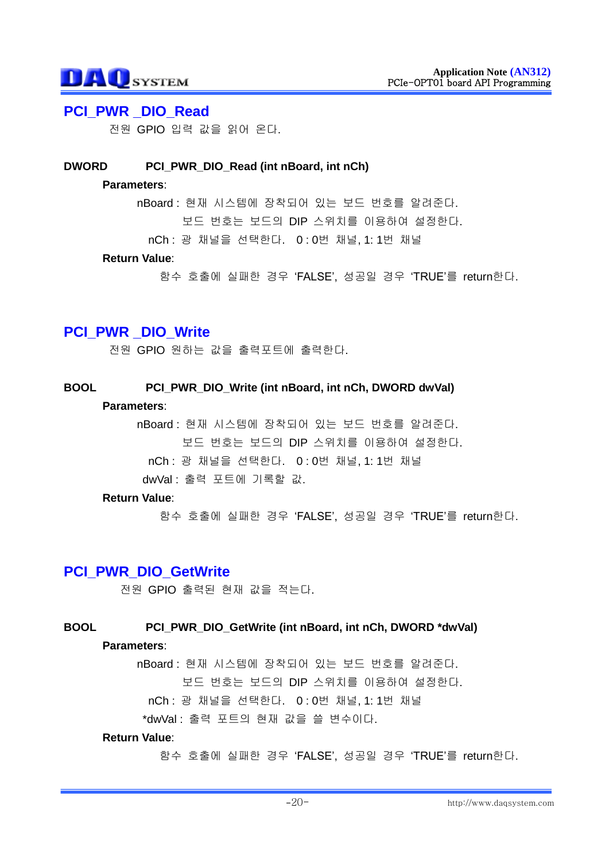## **PCI\_PWR \_DIO\_Read**

전원 GPIO 입력 값을 읽어 온다.

#### **DWORD PCI\_PWR\_DIO\_Read (int nBoard, int nCh)**

#### **Parameters**:

nBoard : 현재 시스템에 장착되어 있는 보드 번호를 알려준다.

보드 번호는 보드의 DIP 스위치를 이용하여 설정한다.

nCh : 광 채널을 선택한다. 0 : 0번 채널, 1: 1번 채널

#### **Return Value**:

함수 호출에 실패한 경우 "FALSE", 성공일 경우 "TRUE"를 return한다.

# **PCI\_PWR \_DIO\_Write**

전원 GPIO 원하는 값을 출력포트에 출력한다.

#### **BOOL PCI\_PWR\_DIO\_Write (int nBoard, int nCh, DWORD dwVal)**

#### **Parameters**:

nBoard : 현재 시스템에 장착되어 있는 보드 번호를 알려준다. 보드 번호는 보드의 DIP 스위치를 이용하여 설정한다. nCh : 광 채널을 선택한다. 0 : 0번 채널, 1: 1번 채널 dwVal : 출력 포트에 기록할 값.

#### **Return Value**:

함수 호출에 실패한 경우 "FALSE", 성공일 경우 "TRUE"를 return한다.

#### **PCI\_PWR\_DIO\_GetWrite**

전원 GPIO 출력된 현재 값을 적는다.

#### **BOOL PCI\_PWR\_DIO\_GetWrite (int nBoard, int nCh, DWORD \*dwVal)**

#### **Parameters**:

nBoard : 현재 시스템에 장착되어 있는 보드 번호를 알려준다.

보드 번호는 보드의 DIP 스위치를 이용하여 설정한다.

nCh : 광 채널을 선택한다. 0 : 0번 채널, 1: 1번 채널

\*dwVal : 출력 포트의 현재 값을 쓸 변수이다.

#### **Return Value**: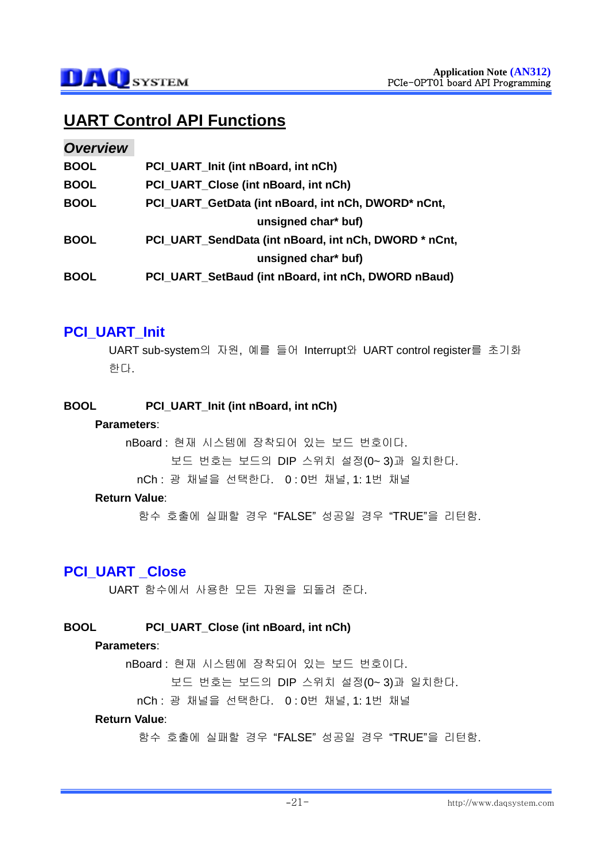# **UART Control API Functions**

#### *Overview*

| <b>BOOL</b> | PCI UART Init (int nBoard, int nCh)                   |
|-------------|-------------------------------------------------------|
| <b>BOOL</b> | PCI UART Close (int nBoard, int nCh)                  |
| <b>BOOL</b> | PCI_UART_GetData (int nBoard, int nCh, DWORD* nCnt,   |
|             | unsigned char* buf)                                   |
| <b>BOOL</b> | PCI UART SendData (int nBoard, int nCh, DWORD * nCnt, |
|             | unsigned char* buf)                                   |
| <b>BOOL</b> | PCI_UART_SetBaud (int nBoard, int nCh, DWORD nBaud)   |

# **PCI\_UART\_Init**

UART sub-system의 자원, 예를 들어 Interrupt와 UART control register를 초기화 한다.

#### **BOOL PCI\_UART\_Init (int nBoard, int nCh)**

#### **Parameters**:

nBoard : 현재 시스템에 장착되어 있는 보드 번호이다.

보드 번호는 보드의 DIP 스위치 설정(0~ 3)과 일치한다.

nCh : 광 채널을 선택한다. 0 : 0번 채널, 1: 1번 채널

#### **Return Value**:

함수 호출에 실패할 경우 "FALSE" 성공일 경우 "TRUE"을 리턴함.

# **PCI\_UART \_Close**

UART 함수에서 사용한 모든 자원을 되돌려 준다.

#### **BOOL PCI\_UART\_Close (int nBoard, int nCh)**

#### **Parameters**:

nBoard : 현재 시스템에 장착되어 있는 보드 번호이다.

보드 번호는 보드의 DIP 스위치 설정(0~ 3)과 일치한다.

nCh : 광 채널을 선택한다. 0 : 0번 채널, 1: 1번 채널

#### **Return Value**: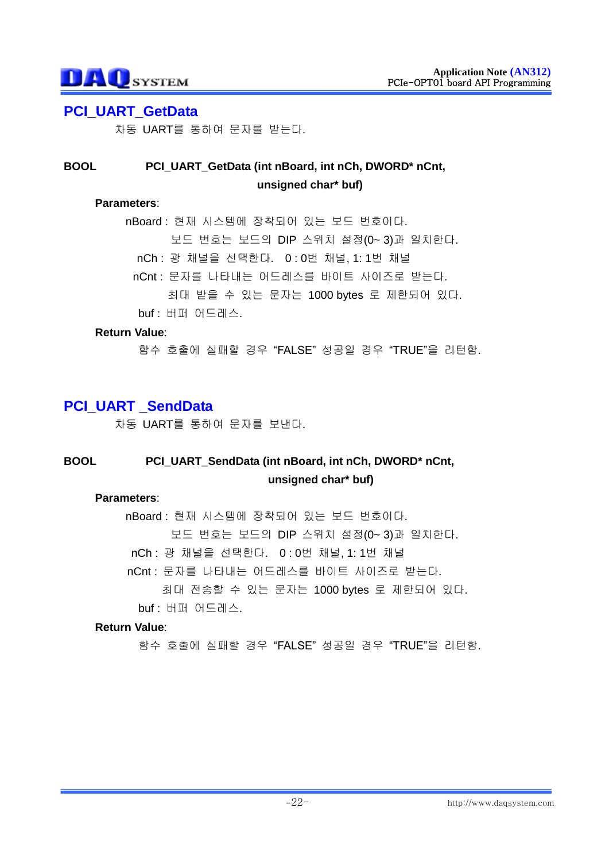## **PCI\_UART\_GetData**

차동 UART를 통하여 문자를 받는다.

## **BOOL PCI\_UART\_GetData (int nBoard, int nCh, DWORD\* nCnt, unsigned char\* buf)**

#### **Parameters**:

nBoard : 현재 시스템에 장착되어 있는 보드 번호이다. 보드 번호는 보드의 DIP 스위치 설정(0~ 3)과 일치한다. nCh : 광 채널을 선택한다. 0 : 0번 채널, 1: 1번 채널 nCnt : 문자를 나타내는 어드레스를 바이트 사이즈로 받는다. 최대 받을 수 있는 문자는 1000 bytes 로 제한되어 있다. buf : 버퍼 어드레스.

#### **Return Value**:

함수 호출에 실패할 경우 "FALSE" 성공일 경우 "TRUE"을 리턴함.

# **PCI\_UART \_SendData**

차동 UART를 통하여 문자를 보낸다.

## **BOOL PCI\_UART\_SendData (int nBoard, int nCh, DWORD\* nCnt, unsigned char\* buf)**

#### **Parameters**:

nBoard : 현재 시스템에 장착되어 있는 보드 번호이다. 보드 번호는 보드의 DIP 스위치 설정(0~ 3)과 일치한다. nCh : 광 채널을 선택한다. 0 : 0번 채널, 1: 1번 채널 nCnt : 문자를 나타내는 어드레스를 바이트 사이즈로 받는다. 최대 전송할 수 있는 문자는 1000 bytes 로 제한되어 있다.

buf : 버퍼 어드레스.

#### **Return Value**: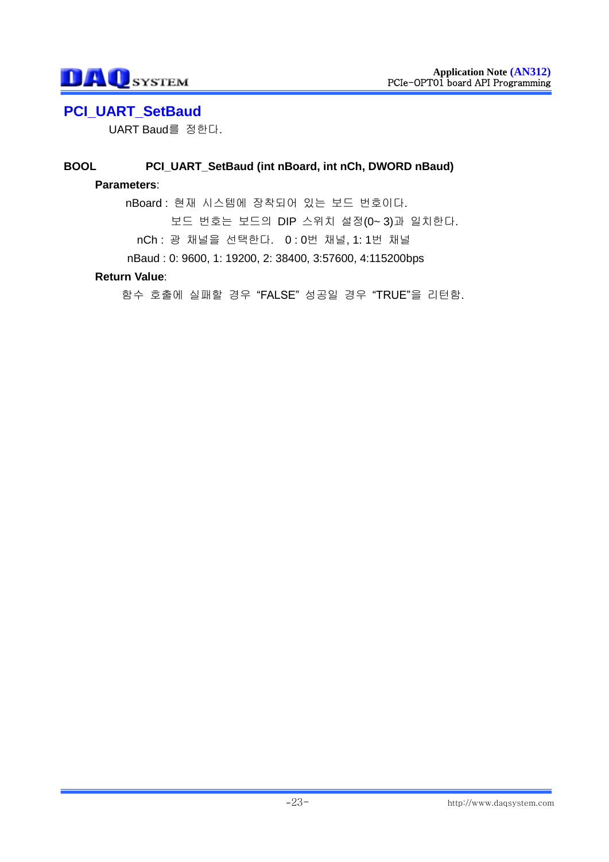# **PCI\_UART\_SetBaud**

UART Baud를 정한다.

# **BOOL PCI\_UART\_SetBaud (int nBoard, int nCh, DWORD nBaud)**

#### **Parameters**:

nBoard : 현재 시스템에 장착되어 있는 보드 번호이다. 보드 번호는 보드의 DIP 스위치 설정(0~ 3)과 일치한다. nCh : 광 채널을 선택한다. 0 : 0번 채널, 1: 1번 채널 nBaud : 0: 9600, 1: 19200, 2: 38400, 3:57600, 4:115200bps

#### **Return Value**: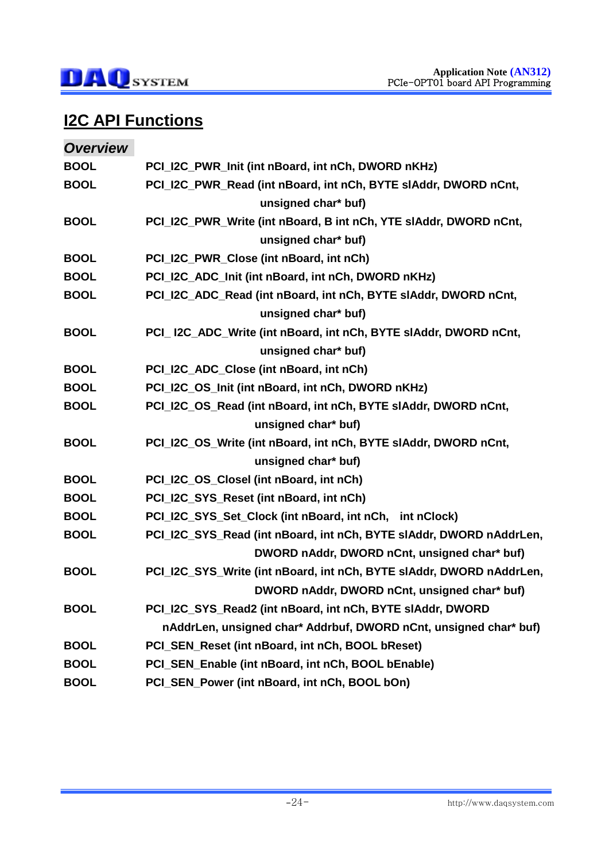

# **I2C API Functions**

| <b>Overview</b> |                                                                      |
|-----------------|----------------------------------------------------------------------|
| <b>BOOL</b>     | PCI_I2C_PWR_Init (int nBoard, int nCh, DWORD nKHz)                   |
| <b>BOOL</b>     | PCI_I2C_PWR_Read (int nBoard, int nCh, BYTE sIAddr, DWORD nCnt,      |
|                 | unsigned char* buf)                                                  |
| <b>BOOL</b>     | PCI_I2C_PWR_Write (int nBoard, B int nCh, YTE slAddr, DWORD nCnt,    |
|                 | unsigned char* buf)                                                  |
| <b>BOOL</b>     | PCI_I2C_PWR_Close (int nBoard, int nCh)                              |
| <b>BOOL</b>     | PCI_I2C_ADC_Init (int nBoard, int nCh, DWORD nKHz)                   |
| <b>BOOL</b>     | PCI_I2C_ADC_Read (int nBoard, int nCh, BYTE sIAddr, DWORD nCnt,      |
|                 | unsigned char* buf)                                                  |
| <b>BOOL</b>     | PCI_I2C_ADC_Write (int nBoard, int nCh, BYTE sIAddr, DWORD nCnt,     |
|                 | unsigned char* buf)                                                  |
| <b>BOOL</b>     | PCI_I2C_ADC_Close (int nBoard, int nCh)                              |
| <b>BOOL</b>     | PCI_I2C_OS_Init (int nBoard, int nCh, DWORD nKHz)                    |
| <b>BOOL</b>     | PCI_I2C_OS_Read (int nBoard, int nCh, BYTE slAddr, DWORD nCnt,       |
|                 | unsigned char* buf)                                                  |
| <b>BOOL</b>     | PCI_I2C_OS_Write (int nBoard, int nCh, BYTE sIAddr, DWORD nCnt,      |
|                 | unsigned char* buf)                                                  |
| <b>BOOL</b>     | PCI_I2C_OS_Closel (int nBoard, int nCh)                              |
| <b>BOOL</b>     | PCI_I2C_SYS_Reset (int nBoard, int nCh)                              |
| <b>BOOL</b>     | PCI_I2C_SYS_Set_Clock (int nBoard, int nCh, int nClock)              |
| <b>BOOL</b>     | PCI_I2C_SYS_Read (int nBoard, int nCh, BYTE sIAddr, DWORD nAddrLen,  |
|                 | DWORD nAddr, DWORD nCnt, unsigned char* buf)                         |
| <b>BOOL</b>     | PCI_I2C_SYS_Write (int nBoard, int nCh, BYTE sIAddr, DWORD nAddrLen, |
|                 | DWORD nAddr, DWORD nCnt, unsigned char* buf)                         |
| <b>BOOL</b>     | PCI_I2C_SYS_Read2 (int nBoard, int nCh, BYTE slAddr, DWORD           |
|                 | nAddrLen, unsigned char* Addrbuf, DWORD nCnt, unsigned char* buf)    |
| <b>BOOL</b>     | PCI_SEN_Reset (int nBoard, int nCh, BOOL bReset)                     |
| <b>BOOL</b>     | PCI_SEN_Enable (int nBoard, int nCh, BOOL bEnable)                   |
| <b>BOOL</b>     | PCI_SEN_Power (int nBoard, int nCh, BOOL bOn)                        |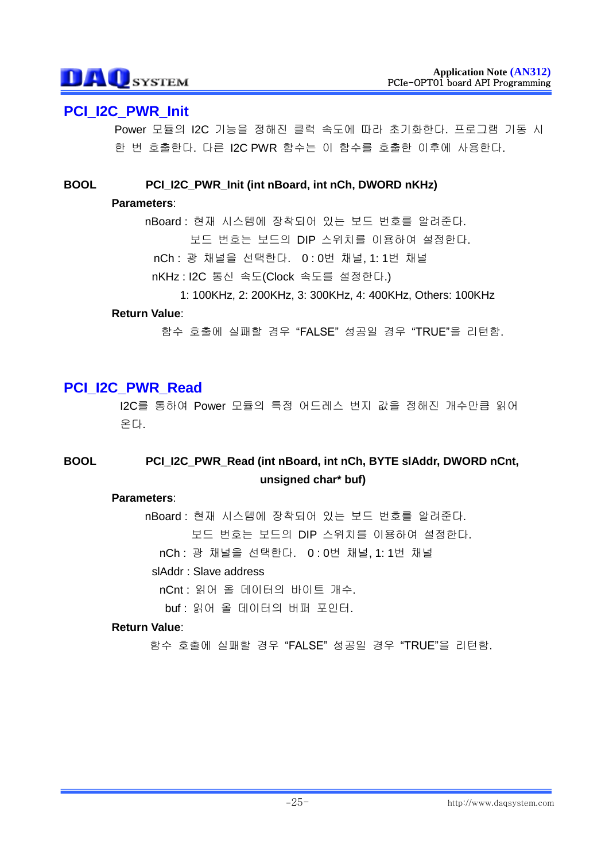# **PCI\_I2C\_PWR\_Init**

Power 모듈의 I2C 기능을 정해진 클럭 속도에 따라 초기화한다. 프로그램 기동 시 한 번 호출한다. 다른 I2C PWR 함수는 이 함수를 호출한 이후에 사용한다.

### **BOOL PCI\_I2C\_PWR\_Init (int nBoard, int nCh, DWORD nKHz)**

#### **Parameters**:

nBoard : 현재 시스템에 장착되어 있는 보드 번호를 알려준다. 보드 번호는 보드의 DIP 스위치를 이용하여 설정한다. nCh : 광 채널을 선택한다. 0 : 0번 채널, 1: 1번 채널

- nKHz : I2C 통신 속도(Clock 속도를 설정한다.)
	- 1: 100KHz, 2: 200KHz, 3: 300KHz, 4: 400KHz, Others: 100KHz

#### **Return Value**:

함수 호출에 실패할 경우 "FALSE" 성공일 경우 "TRUE"을 리턴함.

# **PCI\_I2C\_PWR\_Read**

I2C를 통하여 Power 모듈의 특정 어드레스 번지 값을 정해진 개수만큼 읽어 온다.

# **BOOL PCI\_I2C\_PWR\_Read (int nBoard, int nCh, BYTE slAddr, DWORD nCnt, unsigned char\* buf)**

#### **Parameters**:

nBoard : 현재 시스템에 장착되어 있는 보드 번호를 알려준다. 보드 번호는 보드의 DIP 스위치를 이용하여 설정한다.

nCh : 광 채널을 선택한다. 0 : 0번 채널, 1: 1번 채널

#### slAddr : Slave address

nCnt : 읽어 올 데이터의 바이트 개수.

buf : 읽어 올 데이터의 버퍼 포인터.

#### **Return Value**: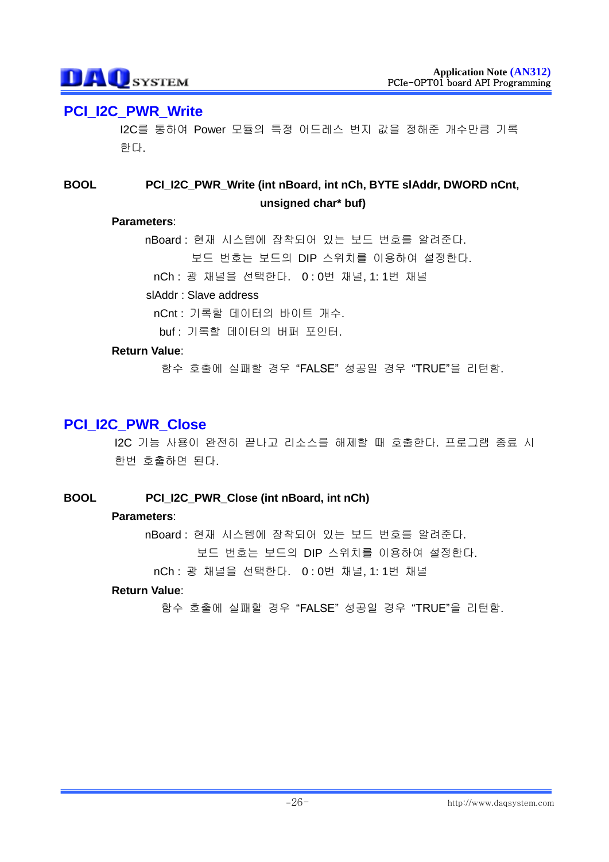# **PCI\_I2C\_PWR\_Write**

I2C를 통하여 Power 모듈의 특정 어드레스 번지 값을 정해준 개수만큼 기록 한다.

## **BOOL PCI\_I2C\_PWR\_Write (int nBoard, int nCh, BYTE slAddr, DWORD nCnt, unsigned char\* buf)**

#### **Parameters**:

nBoard : 현재 시스템에 장착되어 있는 보드 번호를 알려준다. 보드 번호는 보드의 DIP 스위치를 이용하여 설정한다.

nCh : 광 채널을 선택한다. 0 : 0번 채널, 1: 1번 채널

slAddr : Slave address

nCnt : 기록할 데이터의 바이트 개수.

buf : 기록할 데이터의 버퍼 포인터.

#### **Return Value**:

함수 호출에 실패할 경우 "FALSE" 성공일 경우 "TRUE"을 리턴함.

# **PCI\_I2C\_PWR\_Close**

I2C 기능 사용이 완전히 끝나고 리소스를 해제할 때 호출한다. 프로그램 종료 시 한번 호출하면 된다.

#### **BOOL PCI\_I2C\_PWR\_Close (int nBoard, int nCh)**

#### **Parameters**:

nBoard : 현재 시스템에 장착되어 있는 보드 번호를 알려준다. 보드 번호는 보드의 DIP 스위치를 이용하여 설정한다.

nCh : 광 채널을 선택한다. 0 : 0번 채널, 1: 1번 채널

#### **Return Value**: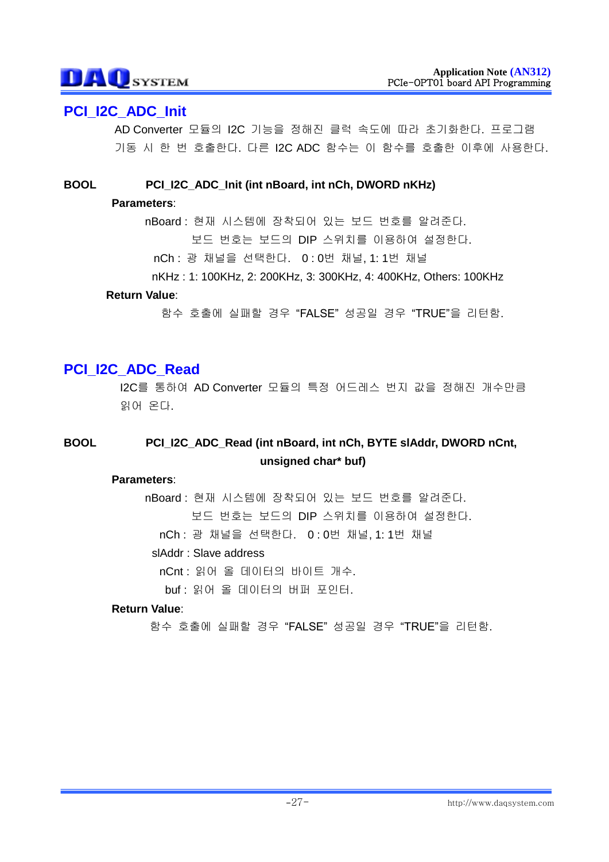# **PCI\_I2C\_ADC\_Init**

AD Converter 모듈의 I2C 기능을 정해진 클럭 속도에 따라 초기화한다. 프로그램 기동 시 한 번 호출한다. 다른 I2C ADC 함수는 이 함수를 호출한 이후에 사용한다.

**BOOL PCI\_I2C\_ADC\_Init (int nBoard, int nCh, DWORD nKHz)**

#### **Parameters**:

nBoard : 현재 시스템에 장착되어 있는 보드 번호를 알려준다. 보드 번호는 보드의 DIP 스위치를 이용하여 설정한다. nCh : 광 채널을 선택한다. 0 : 0번 채널, 1: 1번 채널

nKHz : 1: 100KHz, 2: 200KHz, 3: 300KHz, 4: 400KHz, Others: 100KHz

### **Return Value**:

함수 호출에 실패할 경우 "FALSE" 성공일 경우 "TRUE"을 리턴함.

# **PCI\_I2C\_ADC\_Read**

I2C를 통하여 AD Converter 모듈의 특정 어드레스 번지 값을 정해진 개수만큼 읽어 온다.

# **BOOL PCI\_I2C\_ADC\_Read (int nBoard, int nCh, BYTE slAddr, DWORD nCnt, unsigned char\* buf)**

#### **Parameters**:

nBoard : 현재 시스템에 장착되어 있는 보드 번호를 알려준다. 보드 번호는 보드의 DIP 스위치를 이용하여 설정한다.

nCh : 광 채널을 선택한다. 0 : 0번 채널, 1: 1번 채널

#### slAddr : Slave address

nCnt : 읽어 올 데이터의 바이트 개수.

buf : 읽어 올 데이터의 버퍼 포인터.

#### **Return Value**: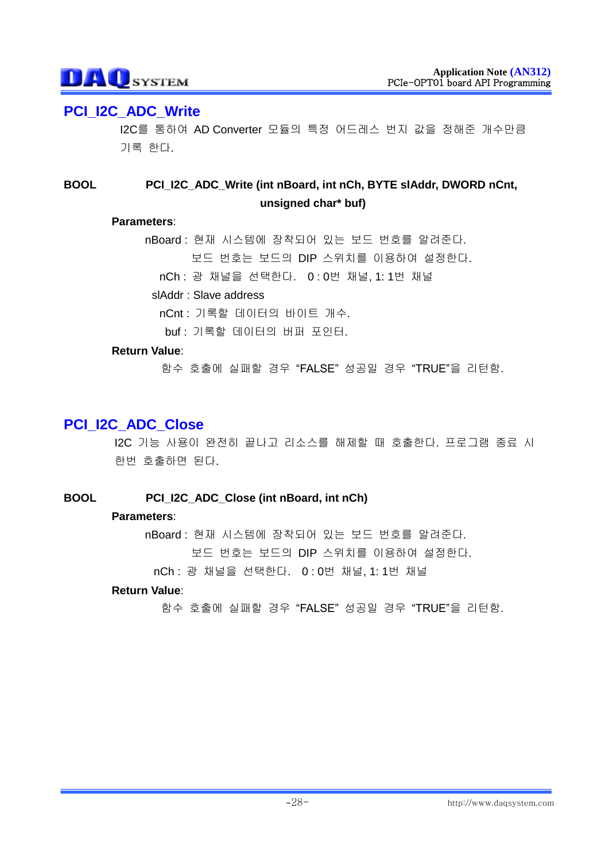# **PCI\_I2C\_ADC\_Write**

I2C를 통하여 AD Converter 모듈의 특정 어드레스 번지 값을 정해준 개수만큼 기록 한다.

## **BOOL PCI\_I2C\_ADC\_Write (int nBoard, int nCh, BYTE slAddr, DWORD nCnt, unsigned char\* buf)**

#### **Parameters**:

nBoard : 현재 시스템에 장착되어 있는 보드 번호를 알려준다. 보드 번호는 보드의 DIP 스위치를 이용하여 설정한다.

nCh : 광 채널을 선택한다. 0 : 0번 채널, 1: 1번 채널

#### slAddr : Slave address

nCnt : 기록할 데이터의 바이트 개수.

buf : 기록할 데이터의 버퍼 포인터.

#### **Return Value**:

함수 호출에 실패할 경우 "FALSE" 성공일 경우 "TRUE"을 리턴함.

# **PCI\_I2C\_ADC\_Close**

I2C 기능 사용이 완전히 끝나고 리소스를 해제할 때 호출한다. 프로그램 종료 시 한번 호출하면 된다.

### **BOOL PCI\_I2C\_ADC\_Close (int nBoard, int nCh)**

#### **Parameters**:

nBoard : 현재 시스템에 장착되어 있는 보드 번호를 알려준다. 보드 번호는 보드의 DIP 스위치를 이용하여 설정한다.

nCh : 광 채널을 선택한다. 0 : 0번 채널, 1: 1번 채널

#### **Return Value**: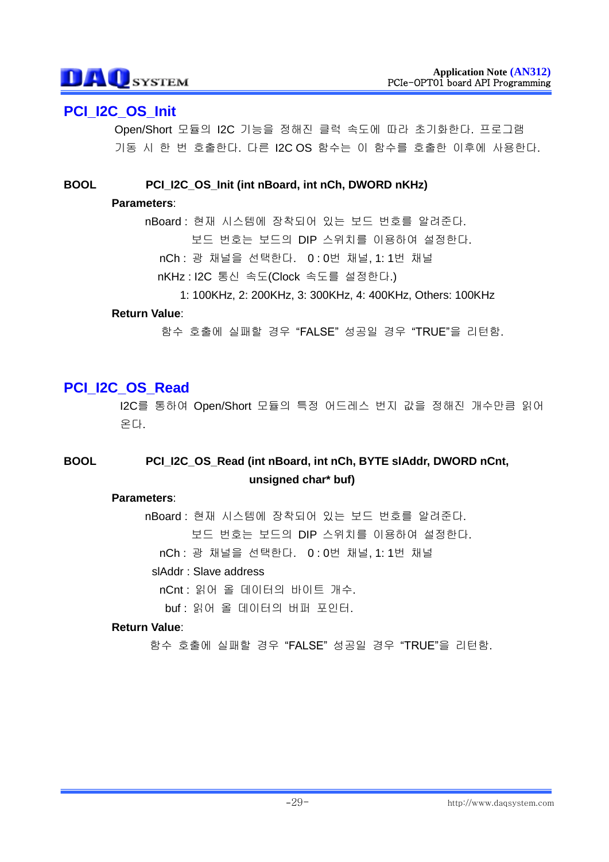# **PCI\_I2C\_OS\_Init**

Open/Short 모듈의 I2C 기능을 정해진 클럭 속도에 따라 초기화한다. 프로그램 기동 시 한 번 호출한다. 다른 I2C OS 함수는 이 함수를 호출한 이후에 사용한다.

**BOOL PCI\_I2C\_OS\_Init (int nBoard, int nCh, DWORD nKHz)**

#### **Parameters**:

nBoard : 현재 시스템에 장착되어 있는 보드 번호를 알려준다. 보드 번호는 보드의 DIP 스위치를 이용하여 설정한다.

- nCh : 광 채널을 선택한다. 0 : 0번 채널, 1: 1번 채널
- nKHz : I2C 통신 속도(Clock 속도를 설정한다.)
	- 1: 100KHz, 2: 200KHz, 3: 300KHz, 4: 400KHz, Others: 100KHz

#### **Return Value**:

함수 호출에 실패할 경우 "FALSE" 성공일 경우 "TRUE"을 리턴함.

# **PCI\_I2C\_OS\_Read**

I2C를 통하여 Open/Short 모듈의 특정 어드레스 번지 값을 정해진 개수만큼 읽어 온다.

# **BOOL PCI\_I2C\_OS\_Read (int nBoard, int nCh, BYTE slAddr, DWORD nCnt, unsigned char\* buf)**

#### **Parameters**:

nBoard : 현재 시스템에 장착되어 있는 보드 번호를 알려준다. 보드 번호는 보드의 DIP 스위치를 이용하여 설정한다.

nCh : 광 채널을 선택한다. 0 : 0번 채널, 1: 1번 채널

#### slAddr : Slave address

nCnt : 읽어 올 데이터의 바이트 개수.

buf : 읽어 올 데이터의 버퍼 포인터.

#### **Return Value**: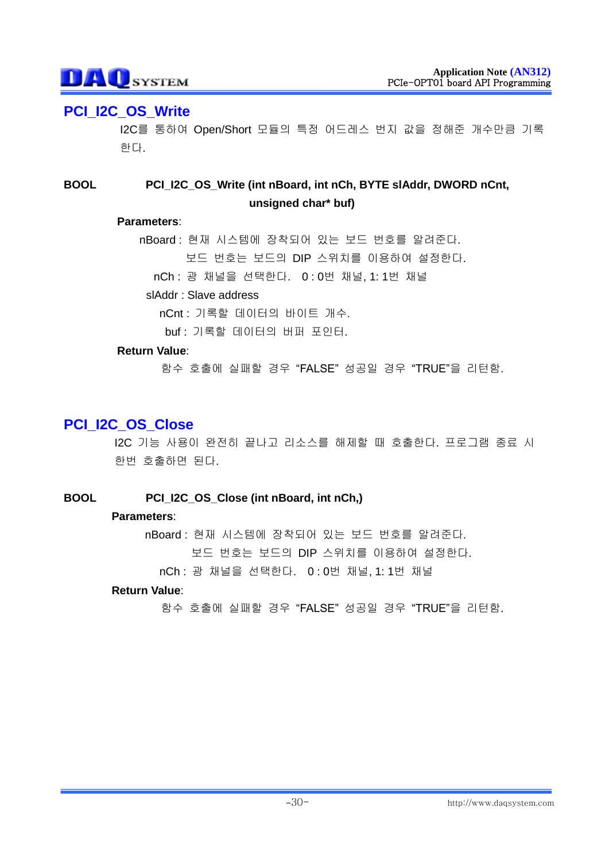# **PCI\_I2C\_OS\_Write**

I2C를 통하여 Open/Short 모듈의 특정 어드레스 번지 값을 정해준 개수만큼 기록 한다.

## **BOOL PCI\_I2C\_OS\_Write (int nBoard, int nCh, BYTE slAddr, DWORD nCnt, unsigned char\* buf)**

#### **Parameters**:

nBoard : 현재 시스템에 장착되어 있는 보드 번호를 알려준다. 보드 번호는 보드의 DIP 스위치를 이용하여 설정한다.

nCh : 광 채널을 선택한다. 0 : 0번 채널, 1: 1번 채널

#### slAddr : Slave address

nCnt : 기록할 데이터의 바이트 개수.

buf : 기록할 데이터의 버퍼 포인터.

#### **Return Value**:

함수 호출에 실패할 경우 "FALSE" 성공일 경우 "TRUE"을 리턴함.

# **PCI\_I2C\_OS\_Close**

I2C 기능 사용이 완전히 끝나고 리소스를 해제할 때 호출한다. 프로그램 종료 시 한번 호출하면 된다.

### **BOOL PCI\_I2C\_OS\_Close (int nBoard, int nCh,)**

#### **Parameters**:

nBoard : 현재 시스템에 장착되어 있는 보드 번호를 알려준다. 보드 번호는 보드의 DIP 스위치를 이용하여 설정한다.

nCh : 광 채널을 선택한다. 0 : 0번 채널, 1: 1번 채널

#### **Return Value**: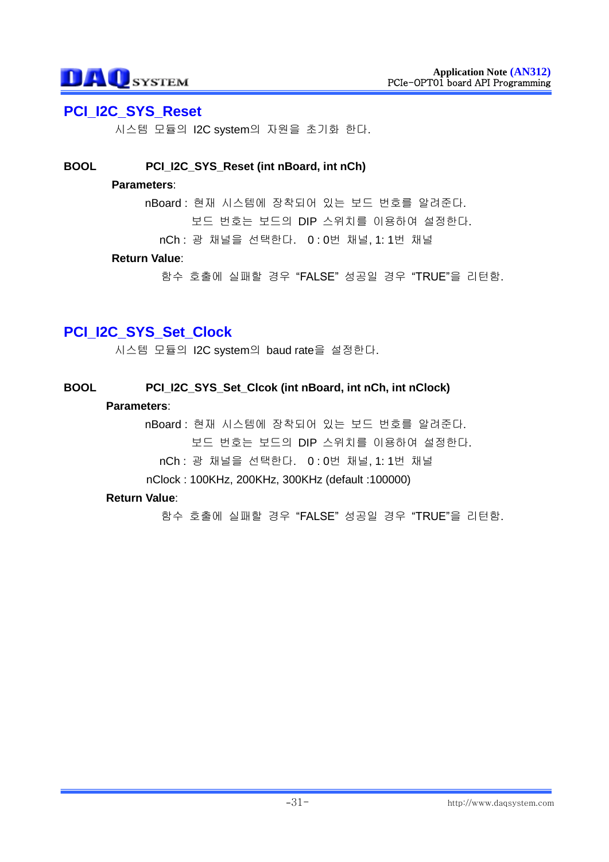## **PCI\_I2C\_SYS\_Reset**

시스템 모듈의 I2C system의 자원을 초기화 한다.

#### **BOOL PCI\_I2C\_SYS\_Reset (int nBoard, int nCh)**

#### **Parameters**:

nBoard : 현재 시스템에 장착되어 있는 보드 번호를 알려준다.

보드 번호는 보드의 DIP 스위치를 이용하여 설정한다.

nCh : 광 채널을 선택한다. 0 : 0번 채널, 1: 1번 채널

#### **Return Value**:

함수 호출에 실패할 경우 "FALSE" 성공일 경우 "TRUE"을 리턴함.

# **PCI\_I2C\_SYS\_Set\_Clock**

시스템 모듈의 I2C system의 baud rate을 설정한다.

#### **BOOL PCI\_I2C\_SYS\_Set\_Clcok (int nBoard, int nCh, int nClock)**

#### **Parameters**:

nBoard : 현재 시스템에 장착되어 있는 보드 번호를 알려준다. 보드 번호는 보드의 DIP 스위치를 이용하여 설정한다.

nCh : 광 채널을 선택한다. 0 : 0번 채널, 1: 1번 채널

nClock : 100KHz, 200KHz, 300KHz (default :100000)

#### **Return Value**: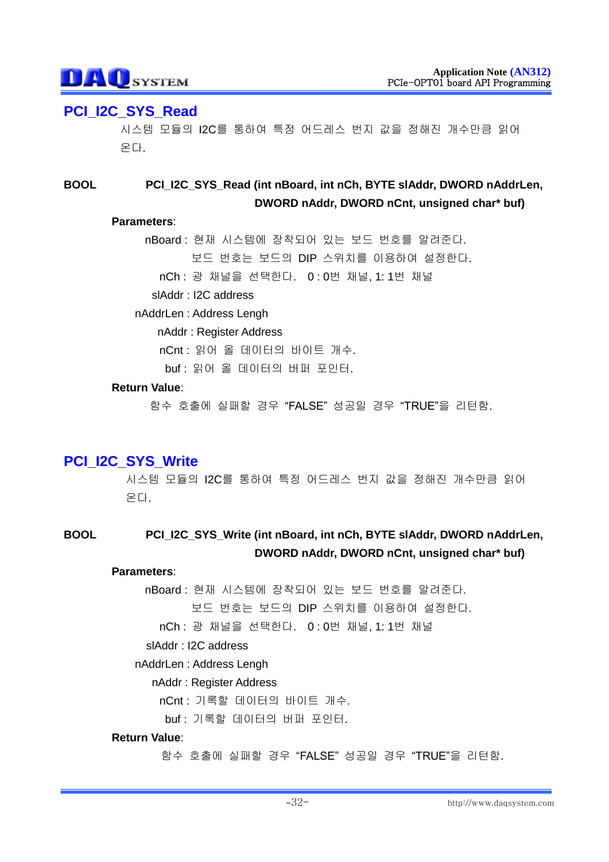# **PCI\_I2C\_SYS\_Read**

시스템 모듈의 I2C를 통하여 특정 어드레스 번지 값을 정해진 개수만큼 읽어 온다.

## **BOOL PCI\_I2C\_SYS\_Read (int nBoard, int nCh, BYTE slAddr, DWORD nAddrLen, DWORD nAddr, DWORD nCnt, unsigned char\* buf)**

#### **Parameters**:

nBoard : 현재 시스템에 장착되어 있는 보드 번호를 알려준다. 보드 번호는 보드의 DIP 스위치를 이용하여 설정한다. nCh : 광 채널을 선택한다. 0 : 0번 채널, 1: 1번 채널

slAddr : I2C address

#### nAddrLen : Address Lengh

nAddr : Register Address

nCnt : 읽어 올 데이터의 바이트 개수.

buf : 읽어 올 데이터의 버퍼 포인터.

#### **Return Value**:

함수 호출에 실패할 경우 "FALSE" 성공일 경우 "TRUE"을 리턴함.

# **PCI\_I2C\_SYS\_Write**

시스템 모듈의 I2C를 통하여 특정 어드레스 번지 값을 정해진 개수만큼 읽어 온다.

### **BOOL PCI\_I2C\_SYS\_Write (int nBoard, int nCh, BYTE slAddr, DWORD nAddrLen, DWORD nAddr, DWORD nCnt, unsigned char\* buf)**

#### **Parameters**:

nBoard : 현재 시스템에 장착되어 있는 보드 번호를 알려준다.

보드 번호는 보드의 DIP 스위치를 이용하여 설정한다.

nCh : 광 채널을 선택한다. 0 : 0번 채널, 1: 1번 채널

#### slAddr : I2C address

#### nAddrLen : Address Lengh

#### nAddr : Register Address

nCnt : 기록할 데이터의 바이트 개수.

buf : 기록할 데이터의 버퍼 포인터.

**Return Value**: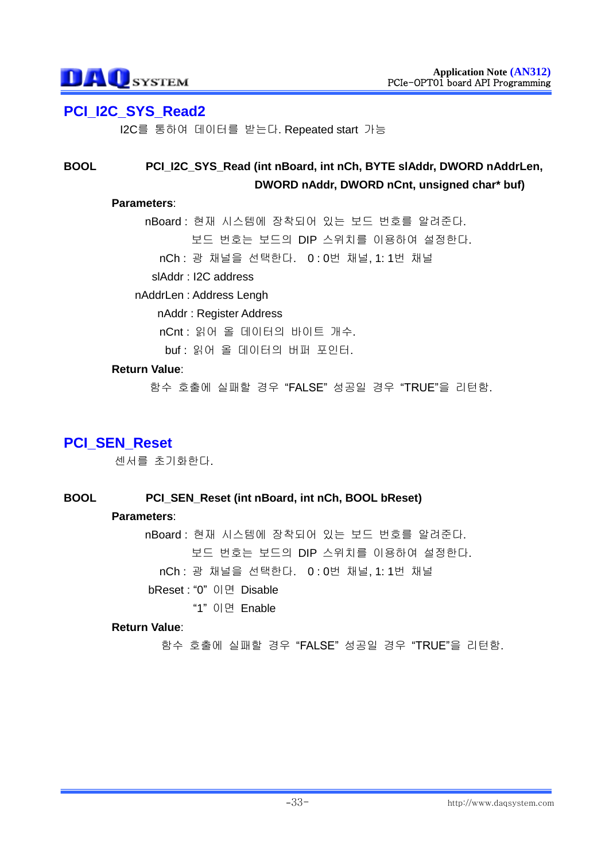# **PCI\_I2C\_SYS\_Read2**

I2C를 통하여 데이터를 받는다. Repeated start 가능

## **BOOL PCI\_I2C\_SYS\_Read (int nBoard, int nCh, BYTE slAddr, DWORD nAddrLen, DWORD nAddr, DWORD nCnt, unsigned char\* buf)**

#### **Parameters**:

nBoard : 현재 시스템에 장착되어 있는 보드 번호를 알려준다. 보드 번호는 보드의 DIP 스위치를 이용하여 설정한다.

nCh : 광 채널을 선택한다. 0 : 0번 채널, 1: 1번 채널

slAddr : I2C address

#### nAddrLen : Address Lengh

nAddr : Register Address

nCnt : 읽어 올 데이터의 바이트 개수.

buf : 읽어 올 데이터의 버퍼 포인터.

#### **Return Value**:

함수 호출에 실패할 경우 "FALSE" 성공일 경우 "TRUE"을 리턴함.

# **PCI\_SEN\_Reset**

센서를 초기화한다.

### **BOOL PCI\_SEN\_Reset (int nBoard, int nCh, BOOL bReset)**

#### **Parameters**:

nBoard : 현재 시스템에 장착되어 있는 보드 번호를 알려준다. 보드 번호는 보드의 DIP 스위치를 이용하여 설정한다. nCh : 광 채널을 선택한다. 0 : 0번 채널, 1: 1번 채널 bReset : "0" 이면 Disable

#### "1" 이면 Enable

#### **Return Value**: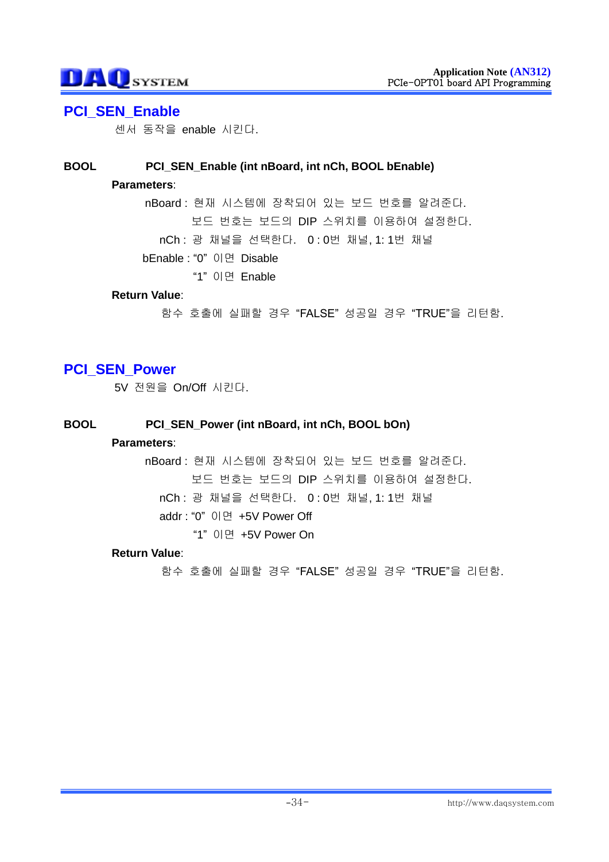# **DAO**SYSTEM

## **PCI\_SEN\_Enable**

센서 동작을 enable 시킨다.

#### **BOOL PCI\_SEN\_Enable (int nBoard, int nCh, BOOL bEnable)**

#### **Parameters**:

nBoard : 현재 시스템에 장착되어 있는 보드 번호를 알려준다. 보드 번호는 보드의 DIP 스위치를 이용하여 설정한다. nCh : 광 채널을 선택한다. 0 : 0번 채널, 1: 1번 채널 bEnable : "0" 이면 Disable

"1" 이면 Enable

#### **Return Value**:

함수 호출에 실패할 경우 "FALSE" 성공일 경우 "TRUE"을 리턴함.

# **PCI\_SEN\_Power**

5V 전원을 On/Off 시킨다.

#### **BOOL PCI\_SEN\_Power (int nBoard, int nCh, BOOL bOn)**

#### **Parameters**:

nBoard : 현재 시스템에 장착되어 있는 보드 번호를 알려준다. 보드 번호는 보드의 DIP 스위치를 이용하여 설정한다. nCh : 광 채널을 선택한다. 0 : 0번 채널, 1: 1번 채널 addr : "0" 이면 +5V Power Off "1" 이면 +5V Power On

#### **Return Value**: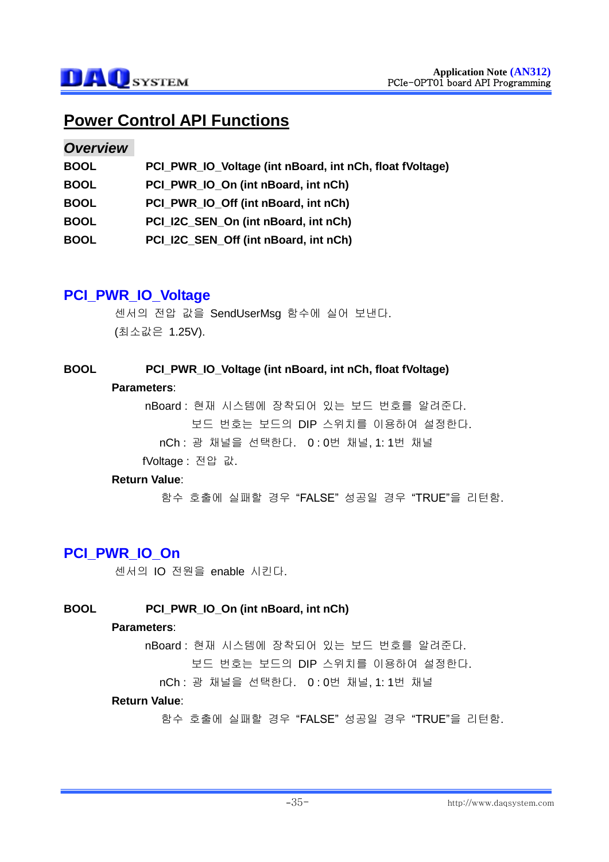# **Power Control API Functions**

### *Overview*

| <b>BOOL</b> | PCI_PWR_IO_Voltage (int nBoard, int nCh, float fVoltage) |
|-------------|----------------------------------------------------------|
| <b>BOOL</b> | PCI PWR IO On (int nBoard, int nCh)                      |
| <b>BOOL</b> | PCI PWR IO Off (int nBoard, int nCh)                     |
| <b>BOOL</b> | PCI_I2C_SEN_On (int nBoard, int nCh)                     |
| <b>BOOL</b> | PCI_I2C_SEN_Off (int nBoard, int nCh)                    |

# **PCI\_PWR\_IO\_Voltage**

센서의 전압 값을 SendUserMsg 함수에 실어 보낸다. (최소값은 1.25V).

#### **BOOL PCI\_PWR\_IO\_Voltage (int nBoard, int nCh, float fVoltage)**

#### **Parameters**:

nBoard : 현재 시스템에 장착되어 있는 보드 번호를 알려준다. 보드 번호는 보드의 DIP 스위치를 이용하여 설정한다. nCh : 광 채널을 선택한다. 0 : 0번 채널, 1: 1번 채널 fVoltage : 전압 값.

#### **Return Value**:

함수 호출에 실패할 경우 "FALSE" 성공일 경우 "TRUE"을 리턴함.

# **PCI\_PWR\_IO\_On**

센서의 IO 전원을 enable 시킨다.

### **BOOL PCI\_PWR\_IO\_On (int nBoard, int nCh)**

#### **Parameters**:

nBoard : 현재 시스템에 장착되어 있는 보드 번호를 알려준다.

보드 번호는 보드의 DIP 스위치를 이용하여 설정한다.

nCh : 광 채널을 선택한다. 0 : 0번 채널, 1: 1번 채널

#### **Return Value**: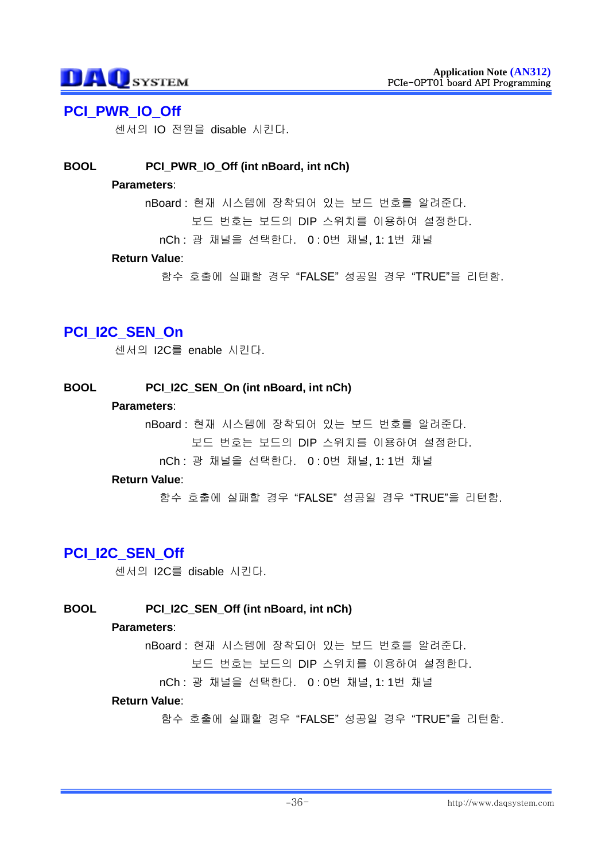# **PCI\_PWR\_IO\_Off**

센서의 IO 전원을 disable 시킨다.

### **BOOL PCI\_PWR\_IO\_Off (int nBoard, int nCh)**

#### **Parameters**:

nBoard : 현재 시스템에 장착되어 있는 보드 번호를 알려준다. 보드 번호는 보드의 DIP 스위치를 이용하여 설정한다.

nCh : 광 채널을 선택한다. 0 : 0번 채널, 1: 1번 채널

#### **Return Value**:

함수 호출에 실패할 경우 "FALSE" 성공일 경우 "TRUE"을 리턴함.

# **PCI\_I2C\_SEN\_On**

센서의 I2C를 enable 시킨다.

### **BOOL PCI\_I2C\_SEN\_On (int nBoard, int nCh)**

#### **Parameters**:

nBoard : 현재 시스템에 장착되어 있는 보드 번호를 알려준다. 보드 번호는 보드의 DIP 스위치를 이용하여 설정한다.

nCh : 광 채널을 선택한다. 0 : 0번 채널, 1: 1번 채널

#### **Return Value**:

함수 호출에 실패할 경우 "FALSE" 성공일 경우 "TRUE"을 리턴함.

# PCI I2C SEN Off

센서의 I2C를 disable 시킨다.

### **BOOL PCI\_I2C\_SEN\_Off (int nBoard, int nCh)**

#### **Parameters**:

nBoard : 현재 시스템에 장착되어 있는 보드 번호를 알려준다.

보드 번호는 보드의 DIP 스위치를 이용하여 설정한다.

nCh : 광 채널을 선택한다. 0 : 0번 채널, 1: 1번 채널

#### **Return Value**: